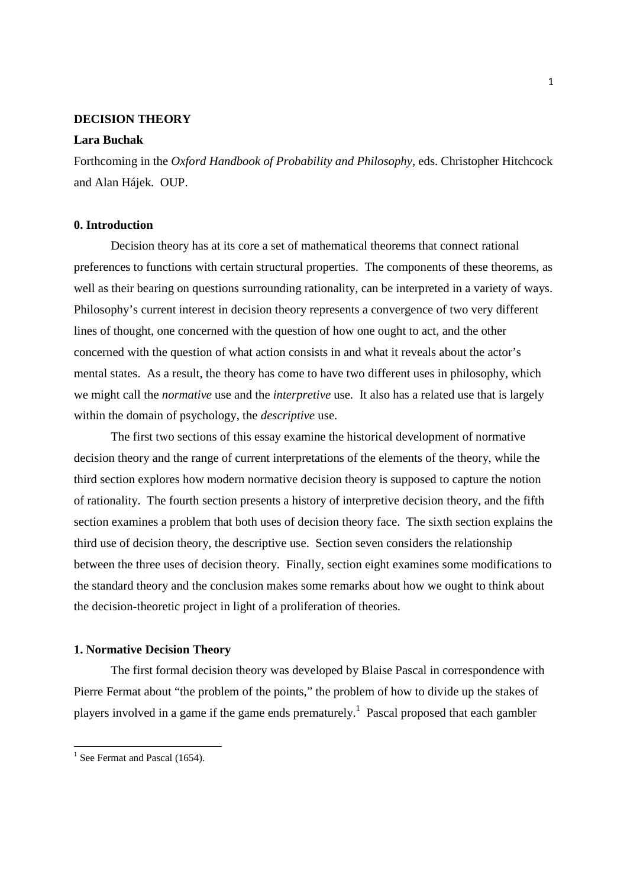## **DECISION THEORY**

## **Lara Buchak**

Forthcoming in the *Oxford Handbook of Probability and Philosophy*, eds. Christopher Hitchcock and Alan Hájek. OUP.

# **0. Introduction**

Decision theory has at its core a set of mathematical theorems that connect rational preferences to functions with certain structural properties. The components of these theorems, as well as their bearing on questions surrounding rationality, can be interpreted in a variety of ways. Philosophy's current interest in decision theory represents a convergence of two very different lines of thought, one concerned with the question of how one ought to act, and the other concerned with the question of what action consists in and what it reveals about the actor's mental states. As a result, the theory has come to have two different uses in philosophy, which we might call the *normative* use and the *interpretive* use. It also has a related use that is largely within the domain of psychology, the *descriptive* use.

The first two sections of this essay examine the historical development of normative decision theory and the range of current interpretations of the elements of the theory, while the third section explores how modern normative decision theory is supposed to capture the notion of rationality. The fourth section presents a history of interpretive decision theory, and the fifth section examines a problem that both uses of decision theory face. The sixth section explains the third use of decision theory, the descriptive use. Section seven considers the relationship between the three uses of decision theory. Finally, section eight examines some modifications to the standard theory and the conclusion makes some remarks about how we ought to think about the decision-theoretic project in light of a proliferation of theories.

#### **1. Normative Decision Theory**

The first formal decision theory was developed by Blaise Pascal in correspondence with Pierre Fermat about "the problem of the points," the problem of how to divide up the stakes of players involved in a game if the game ends prematurely.<sup>1</sup> Pascal proposed that each gambler

<sup>&</sup>lt;sup>1</sup> See Fermat and Pascal (1654).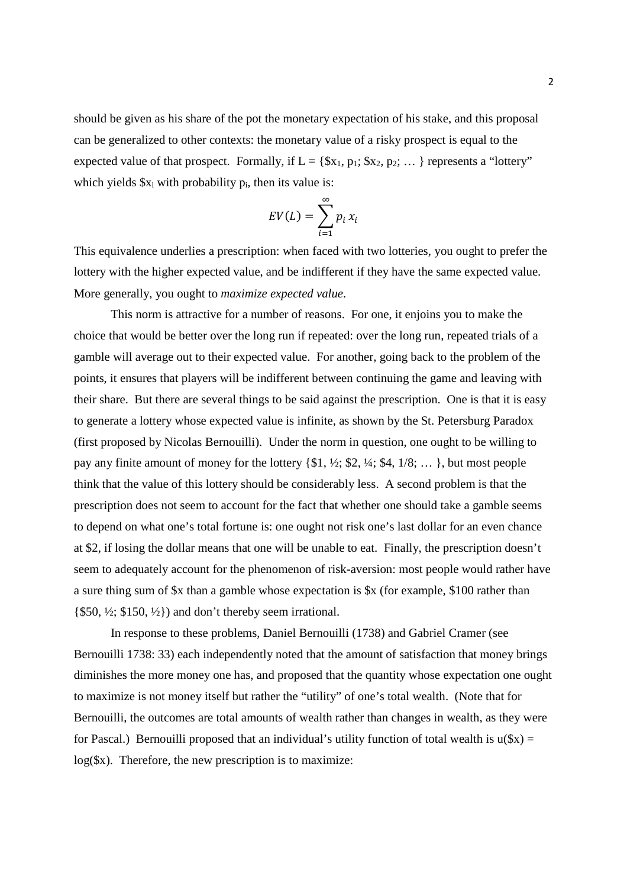should be given as his share of the pot the monetary expectation of his stake, and this proposal can be generalized to other contexts: the monetary value of a risky prospect is equal to the expected value of that prospect. Formally, if  $L = \{\$x_1, p_1; \$x_2, p_2; \dots\}$  represents a "lottery" which yields  $x_i$  with probability  $p_i$ , then its value is:

$$
EV(L) = \sum_{i=1}^{\infty} p_i x_i
$$

This equivalence underlies a prescription: when faced with two lotteries, you ought to prefer the lottery with the higher expected value, and be indifferent if they have the same expected value. More generally, you ought to *maximize expected value*.

 This norm is attractive for a number of reasons. For one, it enjoins you to make the choice that would be better over the long run if repeated: over the long run, repeated trials of a gamble will average out to their expected value. For another, going back to the problem of the points, it ensures that players will be indifferent between continuing the game and leaving with their share. But there are several things to be said against the prescription. One is that it is easy to generate a lottery whose expected value is infinite, as shown by the St. Petersburg Paradox (first proposed by Nicolas Bernouilli). Under the norm in question, one ought to be willing to pay any finite amount of money for the lottery {\$1, ½; \$2, ¼; \$4, 1/8; … }, but most people think that the value of this lottery should be considerably less. A second problem is that the prescription does not seem to account for the fact that whether one should take a gamble seems to depend on what one's total fortune is: one ought not risk one's last dollar for an even chance at \$2, if losing the dollar means that one will be unable to eat. Finally, the prescription doesn't seem to adequately account for the phenomenon of risk-aversion: most people would rather have a sure thing sum of \$x than a gamble whose expectation is \$x (for example, \$100 rather than  $\{\$50, \frac{1}{2}; \$150, \frac{1}{2}\}\)$  and don't thereby seem irrational.

In response to these problems, Daniel Bernouilli (1738) and Gabriel Cramer (see Bernouilli 1738: 33) each independently noted that the amount of satisfaction that money brings diminishes the more money one has, and proposed that the quantity whose expectation one ought to maximize is not money itself but rather the "utility" of one's total wealth. (Note that for Bernouilli, the outcomes are total amounts of wealth rather than changes in wealth, as they were for Pascal.) Bernouilli proposed that an individual's utility function of total wealth is  $u(\$x) =$ log(\$x). Therefore, the new prescription is to maximize: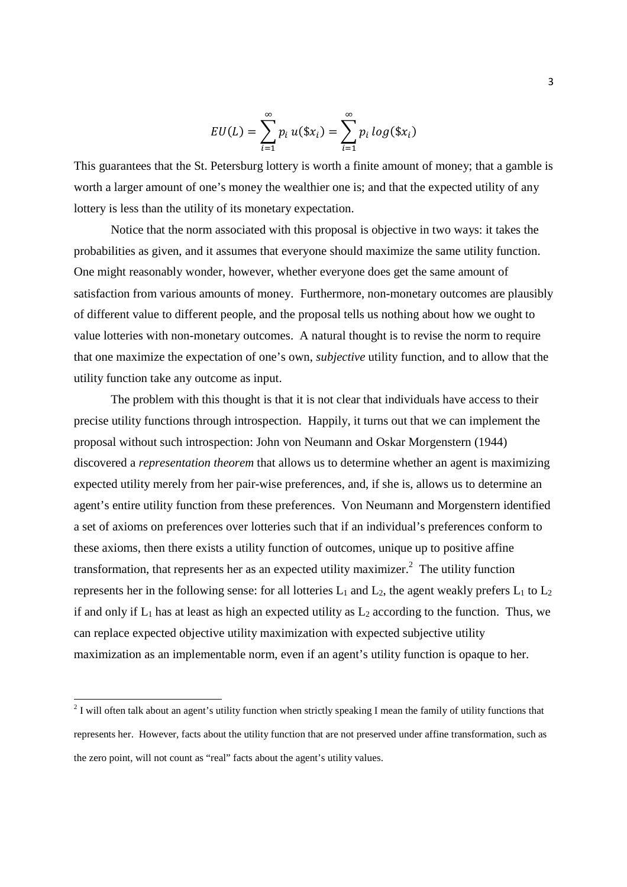$$
EU(L) = \sum_{i=1}^{\infty} p_i u(\$x_i) = \sum_{i=1}^{\infty} p_i \log(\$x_i)
$$

This guarantees that the St. Petersburg lottery is worth a finite amount of money; that a gamble is worth a larger amount of one's money the wealthier one is; and that the expected utility of any lottery is less than the utility of its monetary expectation.

Notice that the norm associated with this proposal is objective in two ways: it takes the probabilities as given, and it assumes that everyone should maximize the same utility function. One might reasonably wonder, however, whether everyone does get the same amount of satisfaction from various amounts of money. Furthermore, non-monetary outcomes are plausibly of different value to different people, and the proposal tells us nothing about how we ought to value lotteries with non-monetary outcomes. A natural thought is to revise the norm to require that one maximize the expectation of one's own, *subjective* utility function, and to allow that the utility function take any outcome as input.

The problem with this thought is that it is not clear that individuals have access to their precise utility functions through introspection. Happily, it turns out that we can implement the proposal without such introspection: John von Neumann and Oskar Morgenstern (1944) discovered a *representation theorem* that allows us to determine whether an agent is maximizing expected utility merely from her pair-wise preferences, and, if she is, allows us to determine an agent's entire utility function from these preferences. Von Neumann and Morgenstern identified a set of axioms on preferences over lotteries such that if an individual's preferences conform to these axioms, then there exists a utility function of outcomes, unique up to positive affine transformation, that represents her as an expected utility maximizer.<sup>2</sup> The utility function represents her in the following sense: for all lotteries  $L_1$  and  $L_2$ , the agent weakly prefers  $L_1$  to  $L_2$ if and only if  $L_1$  has at least as high an expected utility as  $L_2$  according to the function. Thus, we can replace expected objective utility maximization with expected subjective utility maximization as an implementable norm, even if an agent's utility function is opaque to her.

 $2$  I will often talk about an agent's utility function when strictly speaking I mean the family of utility functions that represents her. However, facts about the utility function that are not preserved under affine transformation, such as the zero point, will not count as "real" facts about the agent's utility values.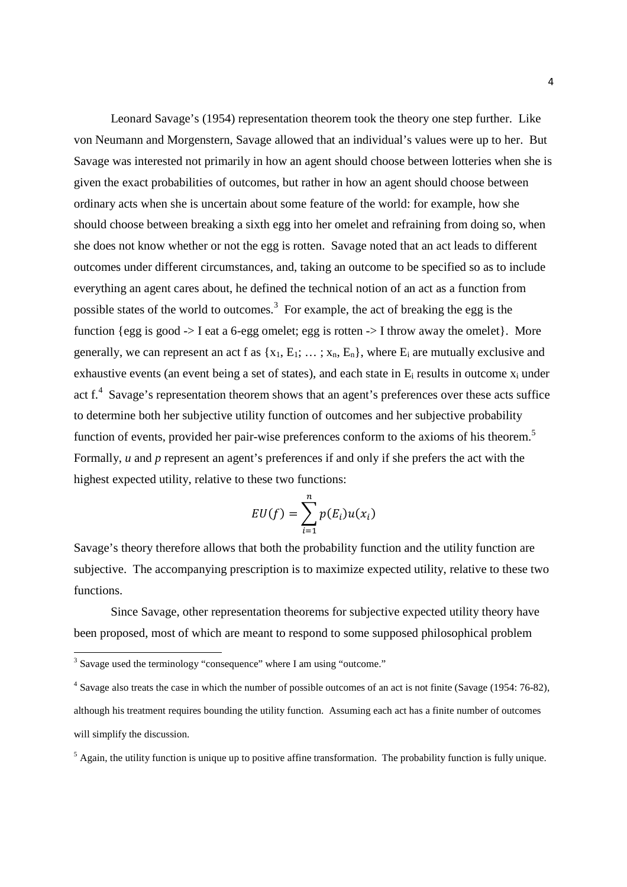Leonard Savage's (1954) representation theorem took the theory one step further. Like von Neumann and Morgenstern, Savage allowed that an individual's values were up to her. But Savage was interested not primarily in how an agent should choose between lotteries when she is given the exact probabilities of outcomes, but rather in how an agent should choose between ordinary acts when she is uncertain about some feature of the world: for example, how she should choose between breaking a sixth egg into her omelet and refraining from doing so, when she does not know whether or not the egg is rotten. Savage noted that an act leads to different outcomes under different circumstances, and, taking an outcome to be specified so as to include everything an agent cares about, he defined the technical notion of an act as a function from possible states of the world to outcomes.<sup>3</sup> For example, the act of breaking the egg is the function {egg is good  $\rightarrow$  I eat a 6-egg omelet; egg is rotten  $\rightarrow$  I throw away the omelet}. More generally, we can represent an act f as  $\{x_1, E_1; \dots; x_n, E_n\}$ , where  $E_i$  are mutually exclusive and exhaustive events (an event being a set of states), and each state in  $E_i$  results in outcome  $x_i$  under act f.<sup>4</sup> Savage's representation theorem shows that an agent's preferences over these acts suffice to determine both her subjective utility function of outcomes and her subjective probability function of events, provided her pair-wise preferences conform to the axioms of his theorem.<sup>5</sup> Formally, *u* and *p* represent an agent's preferences if and only if she prefers the act with the highest expected utility, relative to these two functions:

$$
EU(f) = \sum_{i=1}^{n} p(E_i)u(x_i)
$$

Savage's theory therefore allows that both the probability function and the utility function are subjective. The accompanying prescription is to maximize expected utility, relative to these two functions.

Since Savage, other representation theorems for subjective expected utility theory have been proposed, most of which are meant to respond to some supposed philosophical problem

 $\overline{a}$ 

 $<sup>5</sup>$  Again, the utility function is unique up to positive affine transformation. The probability function is fully unique.</sup>

<sup>&</sup>lt;sup>3</sup> Savage used the terminology "consequence" where I am using "outcome."

<sup>&</sup>lt;sup>4</sup> Savage also treats the case in which the number of possible outcomes of an act is not finite (Savage (1954: 76-82), although his treatment requires bounding the utility function. Assuming each act has a finite number of outcomes will simplify the discussion.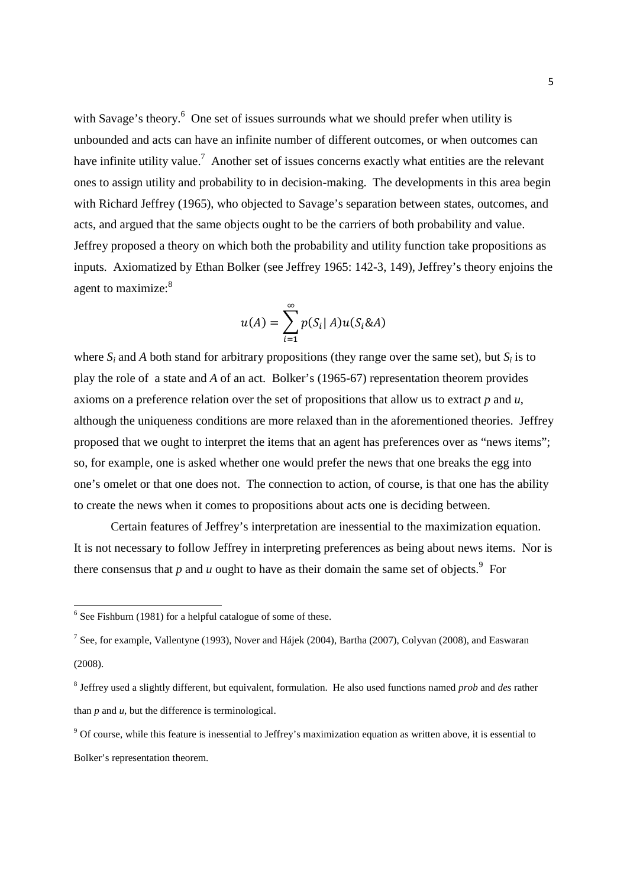with Savage's theory. $6$  One set of issues surrounds what we should prefer when utility is unbounded and acts can have an infinite number of different outcomes, or when outcomes can have infinite utility value.<sup>7</sup> Another set of issues concerns exactly what entities are the relevant ones to assign utility and probability to in decision-making. The developments in this area begin with Richard Jeffrey (1965), who objected to Savage's separation between states, outcomes, and acts, and argued that the same objects ought to be the carriers of both probability and value. Jeffrey proposed a theory on which both the probability and utility function take propositions as inputs. Axiomatized by Ethan Bolker (see Jeffrey 1965: 142-3, 149), Jeffrey's theory enjoins the agent to maximize:<sup>8</sup>

$$
u(A) = \sum_{i=1}^{\infty} p(S_i | A) u(S_i \& A)
$$

where  $S_i$  and  $A$  both stand for arbitrary propositions (they range over the same set), but  $S_i$  is to play the role of a state and *A* of an act. Bolker's (1965-67) representation theorem provides axioms on a preference relation over the set of propositions that allow us to extract *p* and *u*, although the uniqueness conditions are more relaxed than in the aforementioned theories. Jeffrey proposed that we ought to interpret the items that an agent has preferences over as "news items"; so, for example, one is asked whether one would prefer the news that one breaks the egg into one's omelet or that one does not. The connection to action, of course, is that one has the ability to create the news when it comes to propositions about acts one is deciding between.

 Certain features of Jeffrey's interpretation are inessential to the maximization equation. It is not necessary to follow Jeffrey in interpreting preferences as being about news items. Nor is there consensus that  $p$  and  $u$  ought to have as their domain the same set of objects.<sup>9</sup> For

 $6$  See Fishburn (1981) for a helpful catalogue of some of these.

<sup>&</sup>lt;sup>7</sup> See, for example, Vallentyne (1993), Nover and Hájek (2004), Bartha (2007), Colyvan (2008), and Easwaran (2008).

<sup>8</sup> Jeffrey used a slightly different, but equivalent, formulation. He also used functions named *prob* and *des* rather than *p* and *u*, but the difference is terminological.

<sup>&</sup>lt;sup>9</sup> Of course, while this feature is inessential to Jeffrey's maximization equation as written above, it is essential to Bolker's representation theorem.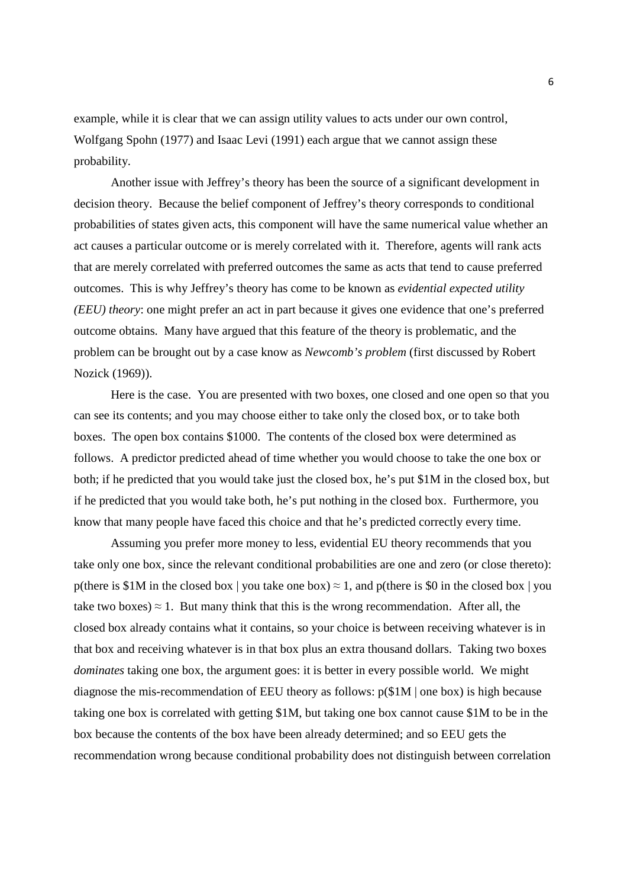example, while it is clear that we can assign utility values to acts under our own control, Wolfgang Spohn (1977) and Isaac Levi (1991) each argue that we cannot assign these probability.

 Another issue with Jeffrey's theory has been the source of a significant development in decision theory. Because the belief component of Jeffrey's theory corresponds to conditional probabilities of states given acts, this component will have the same numerical value whether an act causes a particular outcome or is merely correlated with it. Therefore, agents will rank acts that are merely correlated with preferred outcomes the same as acts that tend to cause preferred outcomes. This is why Jeffrey's theory has come to be known as *evidential expected utility (EEU) theory*: one might prefer an act in part because it gives one evidence that one's preferred outcome obtains. Many have argued that this feature of the theory is problematic, and the problem can be brought out by a case know as *Newcomb's problem* (first discussed by Robert Nozick (1969)).

Here is the case. You are presented with two boxes, one closed and one open so that you can see its contents; and you may choose either to take only the closed box, or to take both boxes. The open box contains \$1000. The contents of the closed box were determined as follows. A predictor predicted ahead of time whether you would choose to take the one box or both; if he predicted that you would take just the closed box, he's put \$1M in the closed box, but if he predicted that you would take both, he's put nothing in the closed box. Furthermore, you know that many people have faced this choice and that he's predicted correctly every time.

 Assuming you prefer more money to less, evidential EU theory recommends that you take only one box, since the relevant conditional probabilities are one and zero (or close thereto): p(there is \$1M in the closed box | you take one box)  $\approx$  1, and p(there is \$0 in the closed box | you take two boxes)  $\approx 1$ . But many think that this is the wrong recommendation. After all, the closed box already contains what it contains, so your choice is between receiving whatever is in that box and receiving whatever is in that box plus an extra thousand dollars. Taking two boxes *dominates* taking one box, the argument goes: it is better in every possible world. We might diagnose the mis-recommendation of EEU theory as follows: p(\$1M | one box) is high because taking one box is correlated with getting \$1M, but taking one box cannot cause \$1M to be in the box because the contents of the box have been already determined; and so EEU gets the recommendation wrong because conditional probability does not distinguish between correlation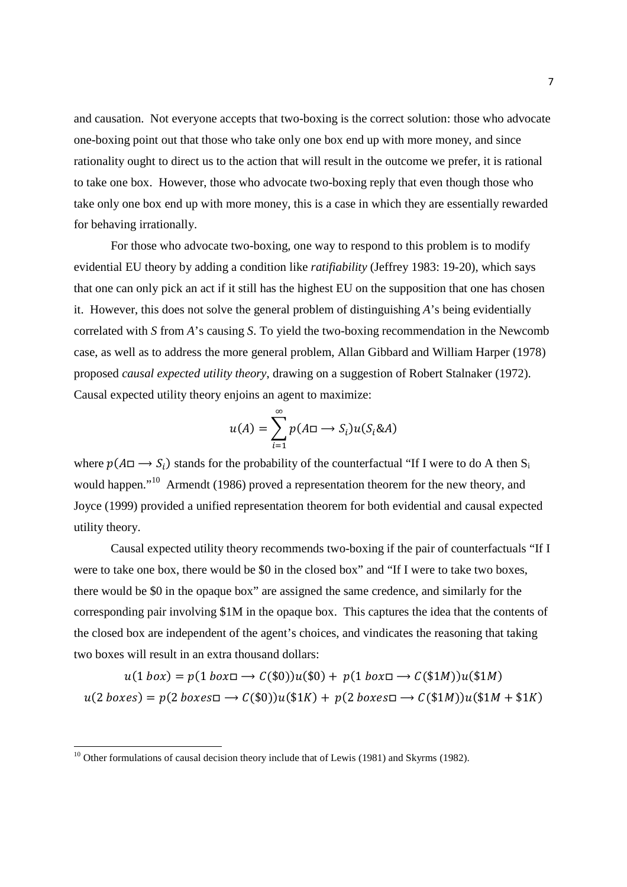and causation. Not everyone accepts that two-boxing is the correct solution: those who advocate one-boxing point out that those who take only one box end up with more money, and since rationality ought to direct us to the action that will result in the outcome we prefer, it is rational to take one box. However, those who advocate two-boxing reply that even though those who take only one box end up with more money, this is a case in which they are essentially rewarded for behaving irrationally.

 For those who advocate two-boxing, one way to respond to this problem is to modify evidential EU theory by adding a condition like *ratifiability* (Jeffrey 1983: 19-20), which says that one can only pick an act if it still has the highest EU on the supposition that one has chosen it. However, this does not solve the general problem of distinguishing *A*'s being evidentially correlated with *S* from *A*'s causing *S*. To yield the two-boxing recommendation in the Newcomb case, as well as to address the more general problem, Allan Gibbard and William Harper (1978) proposed *causal expected utility theory*, drawing on a suggestion of Robert Stalnaker (1972). Causal expected utility theory enjoins an agent to maximize:

$$
u(A) = \sum_{i=1}^{\infty} p(A\Box \to S_i)u(S_i \& A)
$$

where  $p(A \Box \rightarrow S_i)$  stands for the probability of the counterfactual "If I were to do A then S<sub>i</sub> would happen."<sup>10</sup> Armendt (1986) proved a representation theorem for the new theory, and Joyce (1999) provided a unified representation theorem for both evidential and causal expected utility theory.

 Causal expected utility theory recommends two-boxing if the pair of counterfactuals "If I were to take one box, there would be \$0 in the closed box" and "If I were to take two boxes, there would be \$0 in the opaque box" are assigned the same credence, and similarly for the corresponding pair involving \$1M in the opaque box. This captures the idea that the contents of the closed box are independent of the agent's choices, and vindicates the reasoning that taking two boxes will result in an extra thousand dollars:

$$
u(1\text{ box}) = p(1\text{ box} \Box \rightarrow C(\$0))u(\$0) + p(1\text{ box} \Box \rightarrow C(\$1M))u(\$1M)
$$

$$
u(2\text{ boxes}) = p(2\text{ boxes} \Box \rightarrow C(\$0))u(\$1K) + p(2\text{ boxes} \Box \rightarrow C(\$1M))u(\$1M + \$1K)
$$

<sup>&</sup>lt;sup>10</sup> Other formulations of causal decision theory include that of Lewis (1981) and Skyrms (1982).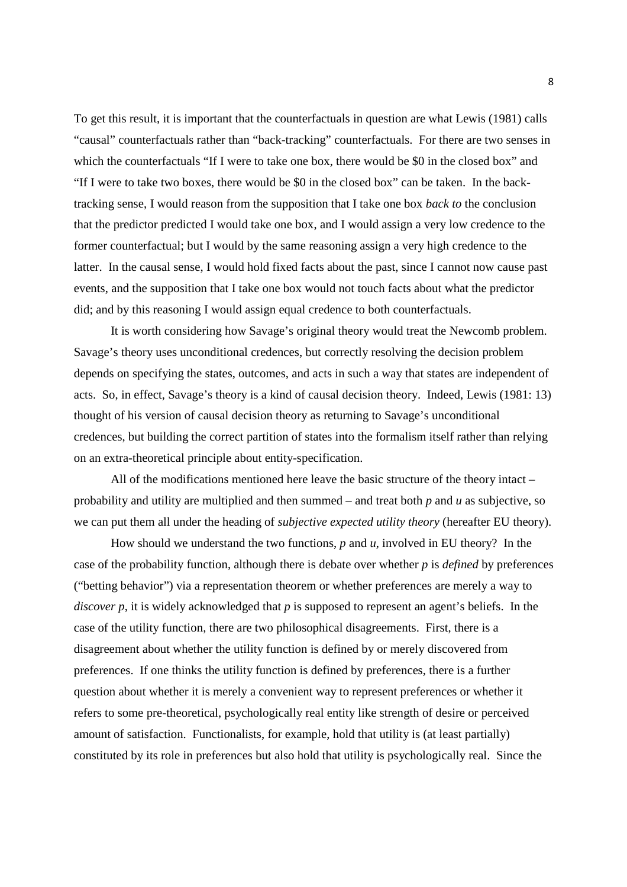To get this result, it is important that the counterfactuals in question are what Lewis (1981) calls "causal" counterfactuals rather than "back-tracking" counterfactuals. For there are two senses in which the counterfactuals "If I were to take one box, there would be \$0 in the closed box" and "If I were to take two boxes, there would be \$0 in the closed box" can be taken. In the backtracking sense, I would reason from the supposition that I take one box *back to* the conclusion that the predictor predicted I would take one box, and I would assign a very low credence to the former counterfactual; but I would by the same reasoning assign a very high credence to the latter. In the causal sense, I would hold fixed facts about the past, since I cannot now cause past events, and the supposition that I take one box would not touch facts about what the predictor did; and by this reasoning I would assign equal credence to both counterfactuals.

 It is worth considering how Savage's original theory would treat the Newcomb problem. Savage's theory uses unconditional credences, but correctly resolving the decision problem depends on specifying the states, outcomes, and acts in such a way that states are independent of acts. So, in effect, Savage's theory is a kind of causal decision theory. Indeed, Lewis (1981: 13) thought of his version of causal decision theory as returning to Savage's unconditional credences, but building the correct partition of states into the formalism itself rather than relying on an extra-theoretical principle about entity-specification.

All of the modifications mentioned here leave the basic structure of the theory intact – probability and utility are multiplied and then summed – and treat both *p* and *u* as subjective, so we can put them all under the heading of *subjective expected utility theory* (hereafter EU theory).

 How should we understand the two functions, *p* and *u*, involved in EU theory? In the case of the probability function, although there is debate over whether *p* is *defined* by preferences ("betting behavior") via a representation theorem or whether preferences are merely a way to *discover p*, it is widely acknowledged that *p* is supposed to represent an agent's beliefs. In the case of the utility function, there are two philosophical disagreements. First, there is a disagreement about whether the utility function is defined by or merely discovered from preferences. If one thinks the utility function is defined by preferences, there is a further question about whether it is merely a convenient way to represent preferences or whether it refers to some pre-theoretical, psychologically real entity like strength of desire or perceived amount of satisfaction. Functionalists, for example, hold that utility is (at least partially) constituted by its role in preferences but also hold that utility is psychologically real. Since the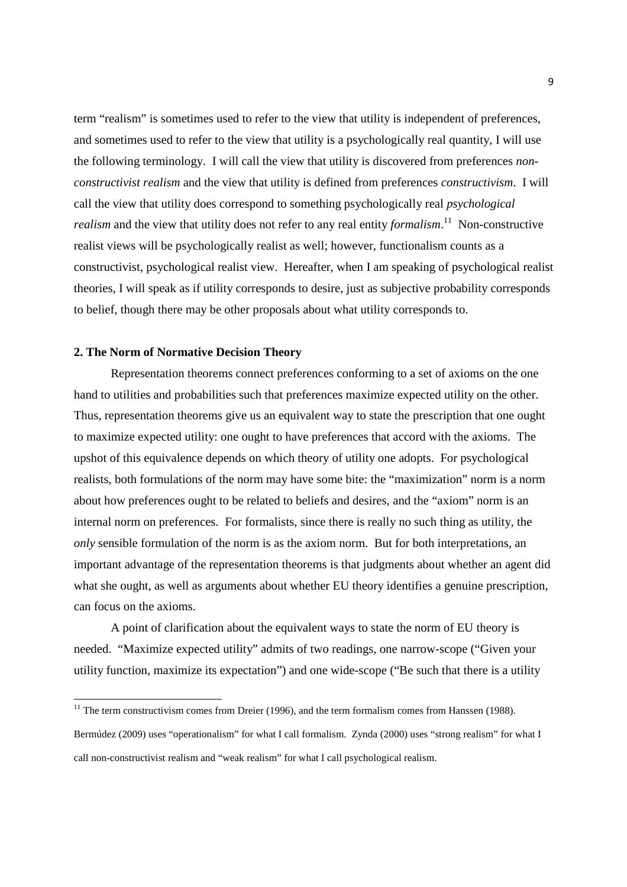term "realism" is sometimes used to refer to the view that utility is independent of preferences, and sometimes used to refer to the view that utility is a psychologically real quantity, I will use the following terminology. I will call the view that utility is discovered from preferences *nonconstructivist realism* and the view that utility is defined from preferences *constructivism*. I will call the view that utility does correspond to something psychologically real *psychological realism* and the view that utility does not refer to any real entity *formalism*.<sup>11</sup> Non-constructive realist views will be psychologically realist as well; however, functionalism counts as a constructivist, psychological realist view. Hereafter, when I am speaking of psychological realist theories, I will speak as if utility corresponds to desire, just as subjective probability corresponds to belief, though there may be other proposals about what utility corresponds to.

## **2. The Norm of Normative Decision Theory**

l,

Representation theorems connect preferences conforming to a set of axioms on the one hand to utilities and probabilities such that preferences maximize expected utility on the other. Thus, representation theorems give us an equivalent way to state the prescription that one ought to maximize expected utility: one ought to have preferences that accord with the axioms. The upshot of this equivalence depends on which theory of utility one adopts. For psychological realists, both formulations of the norm may have some bite: the "maximization" norm is a norm about how preferences ought to be related to beliefs and desires, and the "axiom" norm is an internal norm on preferences. For formalists, since there is really no such thing as utility, the *only* sensible formulation of the norm is as the axiom norm. But for both interpretations, an important advantage of the representation theorems is that judgments about whether an agent did what she ought, as well as arguments about whether EU theory identifies a genuine prescription, can focus on the axioms.

A point of clarification about the equivalent ways to state the norm of EU theory is needed. "Maximize expected utility" admits of two readings, one narrow-scope ("Given your utility function, maximize its expectation") and one wide-scope ("Be such that there is a utility

 $11$  The term constructivism comes from Dreier (1996), and the term formalism comes from Hanssen (1988).

Bermúdez (2009) uses "operationalism" for what I call formalism. Zynda (2000) uses "strong realism" for what I call non-constructivist realism and "weak realism" for what I call psychological realism.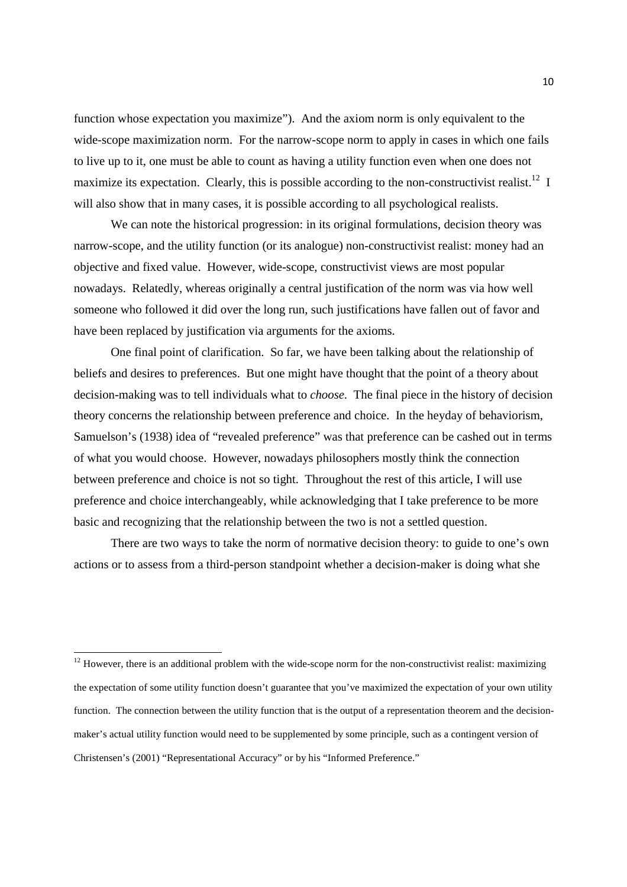function whose expectation you maximize"). And the axiom norm is only equivalent to the wide-scope maximization norm. For the narrow-scope norm to apply in cases in which one fails to live up to it, one must be able to count as having a utility function even when one does not maximize its expectation. Clearly, this is possible according to the non-constructivist realist.<sup>12</sup> I will also show that in many cases, it is possible according to all psychological realists.

We can note the historical progression: in its original formulations, decision theory was narrow-scope, and the utility function (or its analogue) non-constructivist realist: money had an objective and fixed value. However, wide-scope, constructivist views are most popular nowadays. Relatedly, whereas originally a central justification of the norm was via how well someone who followed it did over the long run, such justifications have fallen out of favor and have been replaced by justification via arguments for the axioms.

One final point of clarification. So far, we have been talking about the relationship of beliefs and desires to preferences. But one might have thought that the point of a theory about decision-making was to tell individuals what to *choose*. The final piece in the history of decision theory concerns the relationship between preference and choice. In the heyday of behaviorism, Samuelson's (1938) idea of "revealed preference" was that preference can be cashed out in terms of what you would choose. However, nowadays philosophers mostly think the connection between preference and choice is not so tight. Throughout the rest of this article, I will use preference and choice interchangeably, while acknowledging that I take preference to be more basic and recognizing that the relationship between the two is not a settled question.

There are two ways to take the norm of normative decision theory: to guide to one's own actions or to assess from a third-person standpoint whether a decision-maker is doing what she

<sup>&</sup>lt;sup>12</sup> However, there is an additional problem with the wide-scope norm for the non-constructivist realist: maximizing the expectation of some utility function doesn't guarantee that you've maximized the expectation of your own utility function. The connection between the utility function that is the output of a representation theorem and the decisionmaker's actual utility function would need to be supplemented by some principle, such as a contingent version of Christensen's (2001) "Representational Accuracy" or by his "Informed Preference."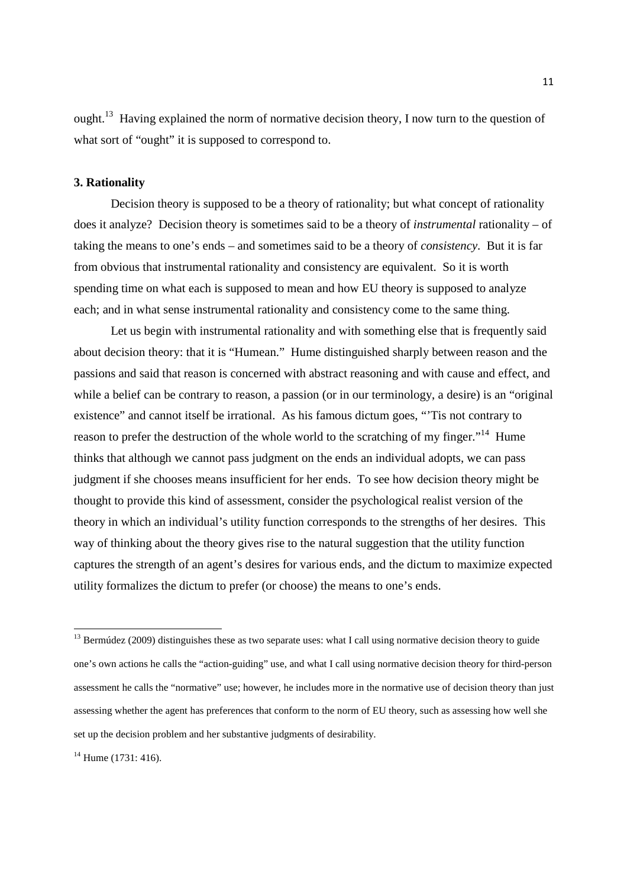ought.<sup>13</sup> Having explained the norm of normative decision theory, I now turn to the question of what sort of "ought" it is supposed to correspond to.

# **3. Rationality**

Decision theory is supposed to be a theory of rationality; but what concept of rationality does it analyze? Decision theory is sometimes said to be a theory of *instrumental* rationality – of taking the means to one's ends – and sometimes said to be a theory of *consistency*. But it is far from obvious that instrumental rationality and consistency are equivalent. So it is worth spending time on what each is supposed to mean and how EU theory is supposed to analyze each; and in what sense instrumental rationality and consistency come to the same thing.

Let us begin with instrumental rationality and with something else that is frequently said about decision theory: that it is "Humean." Hume distinguished sharply between reason and the passions and said that reason is concerned with abstract reasoning and with cause and effect, and while a belief can be contrary to reason, a passion (or in our terminology, a desire) is an "original existence" and cannot itself be irrational. As his famous dictum goes, "'Tis not contrary to reason to prefer the destruction of the whole world to the scratching of my finger."<sup>14</sup> Hume thinks that although we cannot pass judgment on the ends an individual adopts, we can pass judgment if she chooses means insufficient for her ends. To see how decision theory might be thought to provide this kind of assessment, consider the psychological realist version of the theory in which an individual's utility function corresponds to the strengths of her desires. This way of thinking about the theory gives rise to the natural suggestion that the utility function captures the strength of an agent's desires for various ends, and the dictum to maximize expected utility formalizes the dictum to prefer (or choose) the means to one's ends.

 $14$  Hume (1731: 416).

<sup>&</sup>lt;sup>13</sup> Bermúdez (2009) distinguishes these as two separate uses: what I call using normative decision theory to guide one's own actions he calls the "action-guiding" use, and what I call using normative decision theory for third-person assessment he calls the "normative" use; however, he includes more in the normative use of decision theory than just assessing whether the agent has preferences that conform to the norm of EU theory, such as assessing how well she set up the decision problem and her substantive judgments of desirability.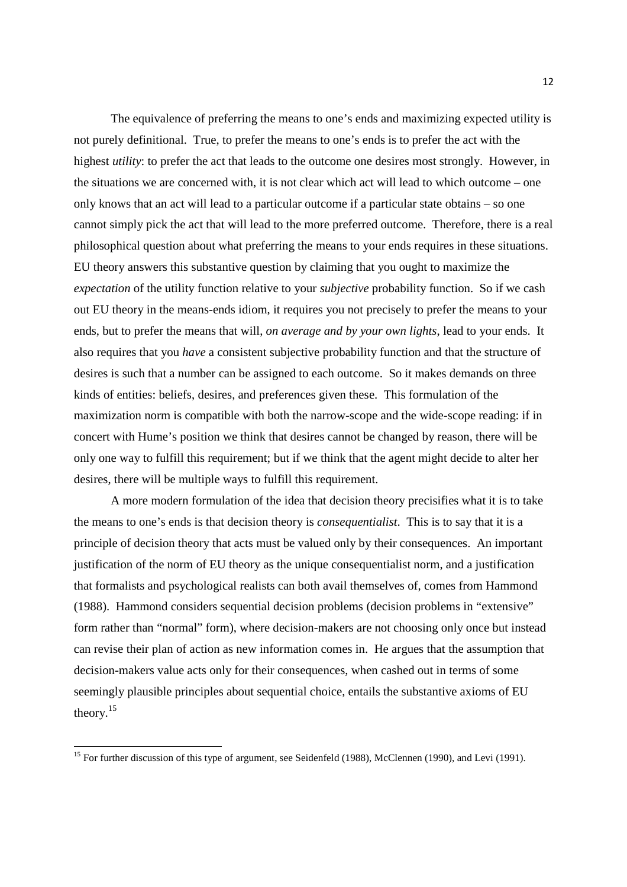The equivalence of preferring the means to one's ends and maximizing expected utility is not purely definitional. True, to prefer the means to one's ends is to prefer the act with the highest *utility*: to prefer the act that leads to the outcome one desires most strongly. However, in the situations we are concerned with, it is not clear which act will lead to which outcome – one only knows that an act will lead to a particular outcome if a particular state obtains – so one cannot simply pick the act that will lead to the more preferred outcome. Therefore, there is a real philosophical question about what preferring the means to your ends requires in these situations. EU theory answers this substantive question by claiming that you ought to maximize the *expectation* of the utility function relative to your *subjective* probability function. So if we cash out EU theory in the means-ends idiom, it requires you not precisely to prefer the means to your ends, but to prefer the means that will, *on average and by your own lights*, lead to your ends. It also requires that you *have* a consistent subjective probability function and that the structure of desires is such that a number can be assigned to each outcome. So it makes demands on three kinds of entities: beliefs, desires, and preferences given these. This formulation of the maximization norm is compatible with both the narrow-scope and the wide-scope reading: if in concert with Hume's position we think that desires cannot be changed by reason, there will be only one way to fulfill this requirement; but if we think that the agent might decide to alter her desires, there will be multiple ways to fulfill this requirement.

A more modern formulation of the idea that decision theory precisifies what it is to take the means to one's ends is that decision theory is *consequentialist*. This is to say that it is a principle of decision theory that acts must be valued only by their consequences. An important justification of the norm of EU theory as the unique consequentialist norm, and a justification that formalists and psychological realists can both avail themselves of, comes from Hammond (1988). Hammond considers sequential decision problems (decision problems in "extensive" form rather than "normal" form), where decision-makers are not choosing only once but instead can revise their plan of action as new information comes in. He argues that the assumption that decision-makers value acts only for their consequences, when cashed out in terms of some seemingly plausible principles about sequential choice, entails the substantive axioms of EU theory. $15$ 

<sup>&</sup>lt;sup>15</sup> For further discussion of this type of argument, see Seidenfeld (1988), McClennen (1990), and Levi (1991).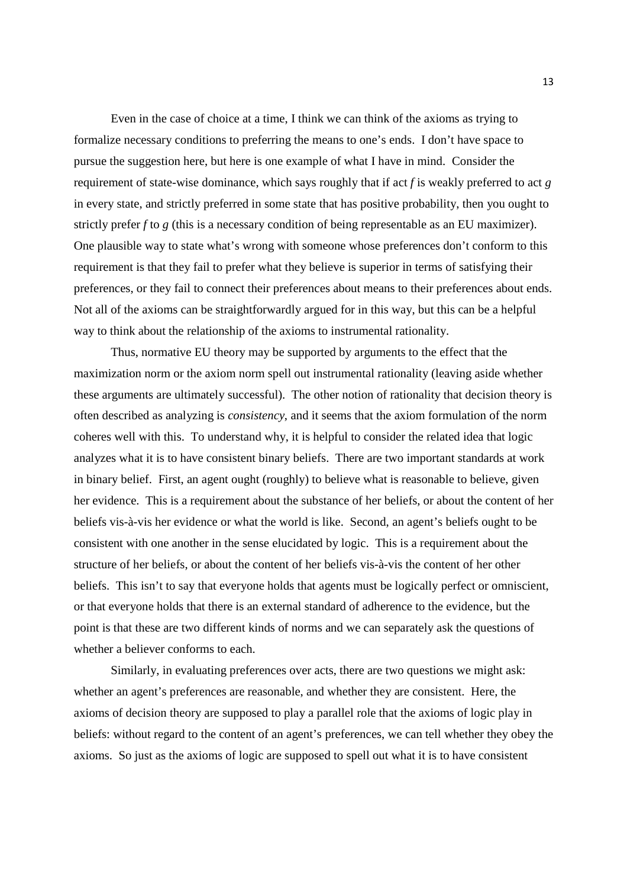Even in the case of choice at a time, I think we can think of the axioms as trying to formalize necessary conditions to preferring the means to one's ends. I don't have space to pursue the suggestion here, but here is one example of what I have in mind. Consider the requirement of state-wise dominance, which says roughly that if act *f* is weakly preferred to act *g* in every state, and strictly preferred in some state that has positive probability, then you ought to strictly prefer *f* to *g* (this is a necessary condition of being representable as an EU maximizer). One plausible way to state what's wrong with someone whose preferences don't conform to this requirement is that they fail to prefer what they believe is superior in terms of satisfying their preferences, or they fail to connect their preferences about means to their preferences about ends. Not all of the axioms can be straightforwardly argued for in this way, but this can be a helpful way to think about the relationship of the axioms to instrumental rationality.

Thus, normative EU theory may be supported by arguments to the effect that the maximization norm or the axiom norm spell out instrumental rationality (leaving aside whether these arguments are ultimately successful). The other notion of rationality that decision theory is often described as analyzing is *consistency*, and it seems that the axiom formulation of the norm coheres well with this. To understand why, it is helpful to consider the related idea that logic analyzes what it is to have consistent binary beliefs. There are two important standards at work in binary belief. First, an agent ought (roughly) to believe what is reasonable to believe, given her evidence. This is a requirement about the substance of her beliefs, or about the content of her beliefs vis-à-vis her evidence or what the world is like. Second, an agent's beliefs ought to be consistent with one another in the sense elucidated by logic. This is a requirement about the structure of her beliefs, or about the content of her beliefs vis-à-vis the content of her other beliefs. This isn't to say that everyone holds that agents must be logically perfect or omniscient, or that everyone holds that there is an external standard of adherence to the evidence, but the point is that these are two different kinds of norms and we can separately ask the questions of whether a believer conforms to each.

Similarly, in evaluating preferences over acts, there are two questions we might ask: whether an agent's preferences are reasonable, and whether they are consistent. Here, the axioms of decision theory are supposed to play a parallel role that the axioms of logic play in beliefs: without regard to the content of an agent's preferences, we can tell whether they obey the axioms. So just as the axioms of logic are supposed to spell out what it is to have consistent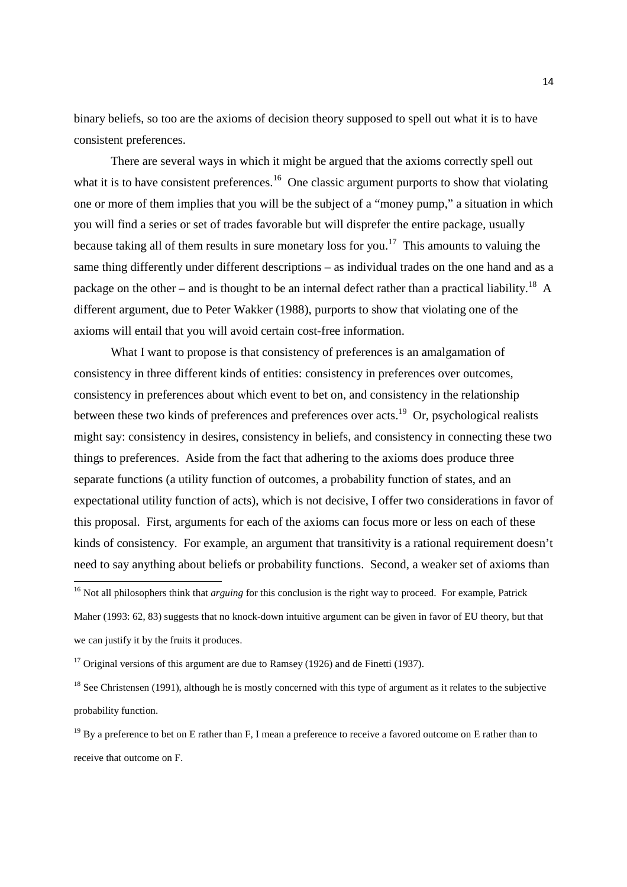binary beliefs, so too are the axioms of decision theory supposed to spell out what it is to have consistent preferences.

There are several ways in which it might be argued that the axioms correctly spell out what it is to have consistent preferences.<sup>16</sup> One classic argument purports to show that violating one or more of them implies that you will be the subject of a "money pump," a situation in which you will find a series or set of trades favorable but will disprefer the entire package, usually because taking all of them results in sure monetary loss for you.<sup>17</sup> This amounts to valuing the same thing differently under different descriptions – as individual trades on the one hand and as a package on the other – and is thought to be an internal defect rather than a practical liability.<sup>18</sup> A different argument, due to Peter Wakker (1988), purports to show that violating one of the axioms will entail that you will avoid certain cost-free information.

What I want to propose is that consistency of preferences is an amalgamation of consistency in three different kinds of entities: consistency in preferences over outcomes, consistency in preferences about which event to bet on, and consistency in the relationship between these two kinds of preferences and preferences over acts.<sup>19</sup> Or, psychological realists might say: consistency in desires, consistency in beliefs, and consistency in connecting these two things to preferences. Aside from the fact that adhering to the axioms does produce three separate functions (a utility function of outcomes, a probability function of states, and an expectational utility function of acts), which is not decisive, I offer two considerations in favor of this proposal. First, arguments for each of the axioms can focus more or less on each of these kinds of consistency. For example, an argument that transitivity is a rational requirement doesn't need to say anything about beliefs or probability functions. Second, a weaker set of axioms than

<sup>&</sup>lt;sup>16</sup> Not all philosophers think that *arguing* for this conclusion is the right way to proceed. For example, Patrick Maher (1993: 62, 83) suggests that no knock-down intuitive argument can be given in favor of EU theory, but that we can justify it by the fruits it produces.

<sup>&</sup>lt;sup>17</sup> Original versions of this argument are due to Ramsey (1926) and de Finetti (1937).

<sup>&</sup>lt;sup>18</sup> See Christensen (1991), although he is mostly concerned with this type of argument as it relates to the subjective probability function.

 $19$  By a preference to bet on E rather than F, I mean a preference to receive a favored outcome on E rather than to receive that outcome on F.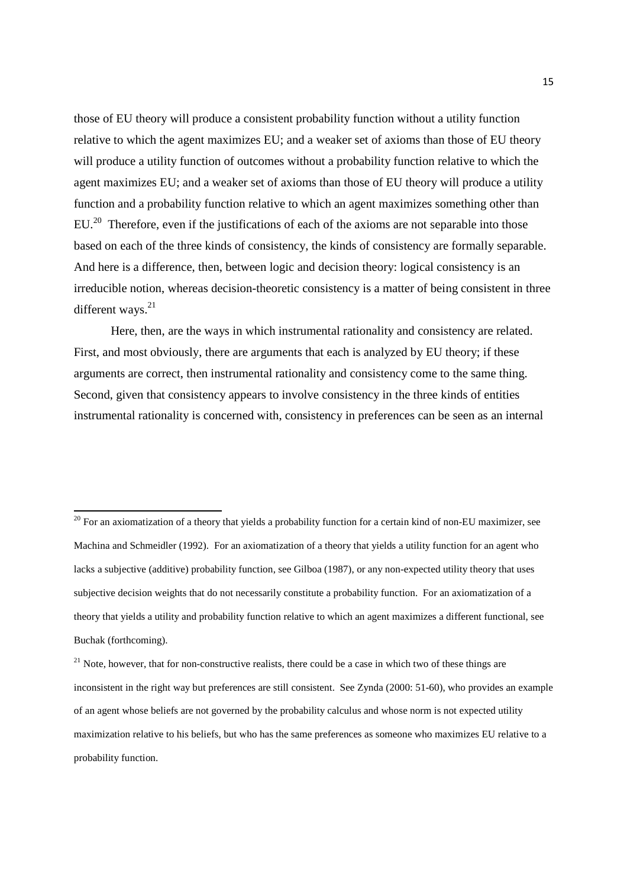those of EU theory will produce a consistent probability function without a utility function relative to which the agent maximizes EU; and a weaker set of axioms than those of EU theory will produce a utility function of outcomes without a probability function relative to which the agent maximizes EU; and a weaker set of axioms than those of EU theory will produce a utility function and a probability function relative to which an agent maximizes something other than  $EU<sup>20</sup>$  Therefore, even if the justifications of each of the axioms are not separable into those based on each of the three kinds of consistency, the kinds of consistency are formally separable. And here is a difference, then, between logic and decision theory: logical consistency is an irreducible notion, whereas decision-theoretic consistency is a matter of being consistent in three different ways.<sup>21</sup>

Here, then, are the ways in which instrumental rationality and consistency are related. First, and most obviously, there are arguments that each is analyzed by EU theory; if these arguments are correct, then instrumental rationality and consistency come to the same thing. Second, given that consistency appears to involve consistency in the three kinds of entities instrumental rationality is concerned with, consistency in preferences can be seen as an internal

 $20$  For an axiomatization of a theory that yields a probability function for a certain kind of non-EU maximizer, see Machina and Schmeidler (1992). For an axiomatization of a theory that yields a utility function for an agent who lacks a subjective (additive) probability function, see Gilboa (1987), or any non-expected utility theory that uses subjective decision weights that do not necessarily constitute a probability function. For an axiomatization of a theory that yields a utility and probability function relative to which an agent maximizes a different functional, see Buchak (forthcoming).

 $21$  Note, however, that for non-constructive realists, there could be a case in which two of these things are inconsistent in the right way but preferences are still consistent. See Zynda (2000: 51-60), who provides an example of an agent whose beliefs are not governed by the probability calculus and whose norm is not expected utility maximization relative to his beliefs, but who has the same preferences as someone who maximizes EU relative to a probability function.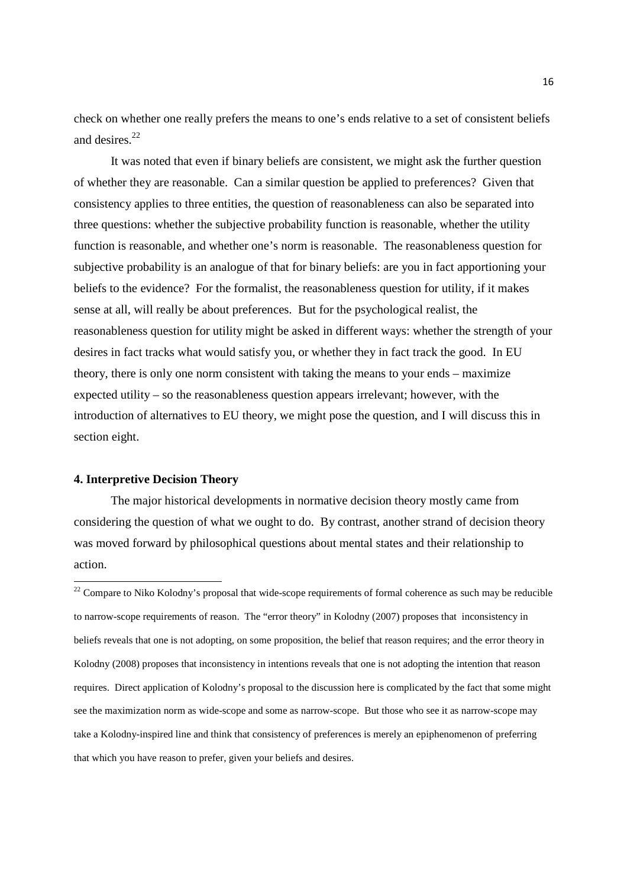check on whether one really prefers the means to one's ends relative to a set of consistent beliefs and desires.<sup>22</sup>

It was noted that even if binary beliefs are consistent, we might ask the further question of whether they are reasonable. Can a similar question be applied to preferences? Given that consistency applies to three entities, the question of reasonableness can also be separated into three questions: whether the subjective probability function is reasonable, whether the utility function is reasonable, and whether one's norm is reasonable. The reasonableness question for subjective probability is an analogue of that for binary beliefs: are you in fact apportioning your beliefs to the evidence? For the formalist, the reasonableness question for utility, if it makes sense at all, will really be about preferences. But for the psychological realist, the reasonableness question for utility might be asked in different ways: whether the strength of your desires in fact tracks what would satisfy you, or whether they in fact track the good. In EU theory, there is only one norm consistent with taking the means to your ends – maximize expected utility – so the reasonableness question appears irrelevant; however, with the introduction of alternatives to EU theory, we might pose the question, and I will discuss this in section eight.

## **4. Interpretive Decision Theory**

 $\overline{a}$ 

The major historical developments in normative decision theory mostly came from considering the question of what we ought to do. By contrast, another strand of decision theory was moved forward by philosophical questions about mental states and their relationship to action.

<sup>22</sup> Compare to Niko Kolodny's proposal that wide-scope requirements of formal coherence as such may be reducible to narrow-scope requirements of reason. The "error theory" in Kolodny (2007) proposes that inconsistency in beliefs reveals that one is not adopting, on some proposition, the belief that reason requires; and the error theory in Kolodny (2008) proposes that inconsistency in intentions reveals that one is not adopting the intention that reason requires. Direct application of Kolodny's proposal to the discussion here is complicated by the fact that some might see the maximization norm as wide-scope and some as narrow-scope. But those who see it as narrow-scope may take a Kolodny-inspired line and think that consistency of preferences is merely an epiphenomenon of preferring that which you have reason to prefer, given your beliefs and desires.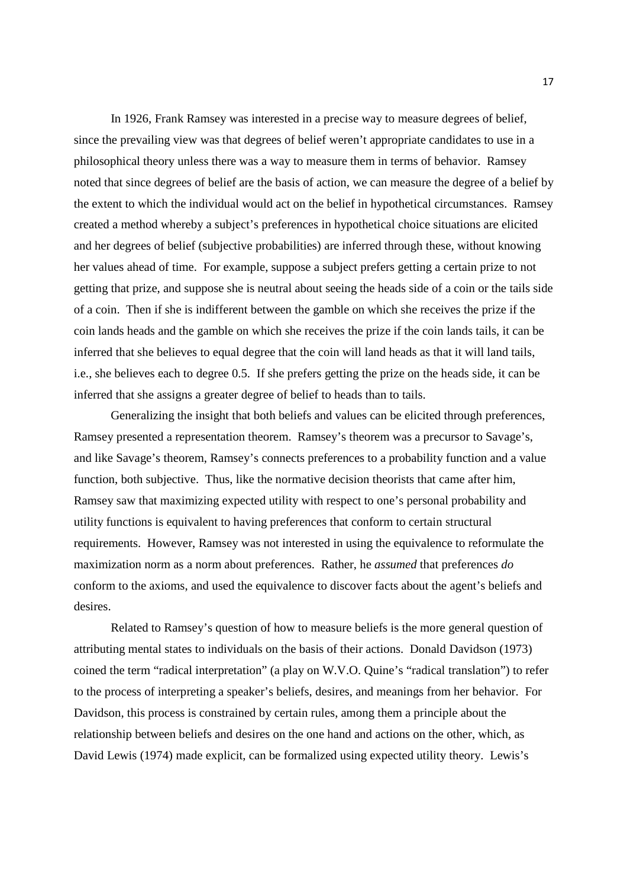In 1926, Frank Ramsey was interested in a precise way to measure degrees of belief, since the prevailing view was that degrees of belief weren't appropriate candidates to use in a philosophical theory unless there was a way to measure them in terms of behavior. Ramsey noted that since degrees of belief are the basis of action, we can measure the degree of a belief by the extent to which the individual would act on the belief in hypothetical circumstances. Ramsey created a method whereby a subject's preferences in hypothetical choice situations are elicited and her degrees of belief (subjective probabilities) are inferred through these, without knowing her values ahead of time. For example, suppose a subject prefers getting a certain prize to not getting that prize, and suppose she is neutral about seeing the heads side of a coin or the tails side of a coin. Then if she is indifferent between the gamble on which she receives the prize if the coin lands heads and the gamble on which she receives the prize if the coin lands tails, it can be inferred that she believes to equal degree that the coin will land heads as that it will land tails, i.e., she believes each to degree 0.5. If she prefers getting the prize on the heads side, it can be inferred that she assigns a greater degree of belief to heads than to tails.

Generalizing the insight that both beliefs and values can be elicited through preferences, Ramsey presented a representation theorem. Ramsey's theorem was a precursor to Savage's, and like Savage's theorem, Ramsey's connects preferences to a probability function and a value function, both subjective. Thus, like the normative decision theorists that came after him, Ramsey saw that maximizing expected utility with respect to one's personal probability and utility functions is equivalent to having preferences that conform to certain structural requirements. However, Ramsey was not interested in using the equivalence to reformulate the maximization norm as a norm about preferences. Rather, he *assumed* that preferences *do* conform to the axioms, and used the equivalence to discover facts about the agent's beliefs and desires.

Related to Ramsey's question of how to measure beliefs is the more general question of attributing mental states to individuals on the basis of their actions. Donald Davidson (1973) coined the term "radical interpretation" (a play on W.V.O. Quine's "radical translation") to refer to the process of interpreting a speaker's beliefs, desires, and meanings from her behavior. For Davidson, this process is constrained by certain rules, among them a principle about the relationship between beliefs and desires on the one hand and actions on the other, which, as David Lewis (1974) made explicit, can be formalized using expected utility theory. Lewis's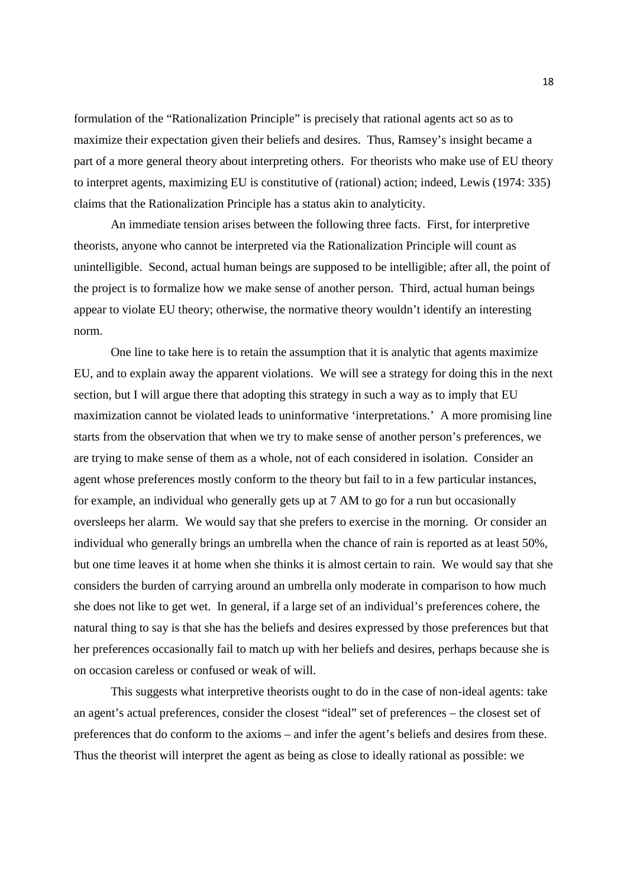formulation of the "Rationalization Principle" is precisely that rational agents act so as to maximize their expectation given their beliefs and desires. Thus, Ramsey's insight became a part of a more general theory about interpreting others. For theorists who make use of EU theory to interpret agents, maximizing EU is constitutive of (rational) action; indeed, Lewis (1974: 335) claims that the Rationalization Principle has a status akin to analyticity.

An immediate tension arises between the following three facts. First, for interpretive theorists, anyone who cannot be interpreted via the Rationalization Principle will count as unintelligible. Second, actual human beings are supposed to be intelligible; after all, the point of the project is to formalize how we make sense of another person. Third, actual human beings appear to violate EU theory; otherwise, the normative theory wouldn't identify an interesting norm.

One line to take here is to retain the assumption that it is analytic that agents maximize EU, and to explain away the apparent violations. We will see a strategy for doing this in the next section, but I will argue there that adopting this strategy in such a way as to imply that EU maximization cannot be violated leads to uninformative 'interpretations.' A more promising line starts from the observation that when we try to make sense of another person's preferences, we are trying to make sense of them as a whole, not of each considered in isolation. Consider an agent whose preferences mostly conform to the theory but fail to in a few particular instances, for example, an individual who generally gets up at 7 AM to go for a run but occasionally oversleeps her alarm. We would say that she prefers to exercise in the morning. Or consider an individual who generally brings an umbrella when the chance of rain is reported as at least 50%, but one time leaves it at home when she thinks it is almost certain to rain. We would say that she considers the burden of carrying around an umbrella only moderate in comparison to how much she does not like to get wet. In general, if a large set of an individual's preferences cohere, the natural thing to say is that she has the beliefs and desires expressed by those preferences but that her preferences occasionally fail to match up with her beliefs and desires, perhaps because she is on occasion careless or confused or weak of will.

This suggests what interpretive theorists ought to do in the case of non-ideal agents: take an agent's actual preferences, consider the closest "ideal" set of preferences – the closest set of preferences that do conform to the axioms – and infer the agent's beliefs and desires from these. Thus the theorist will interpret the agent as being as close to ideally rational as possible: we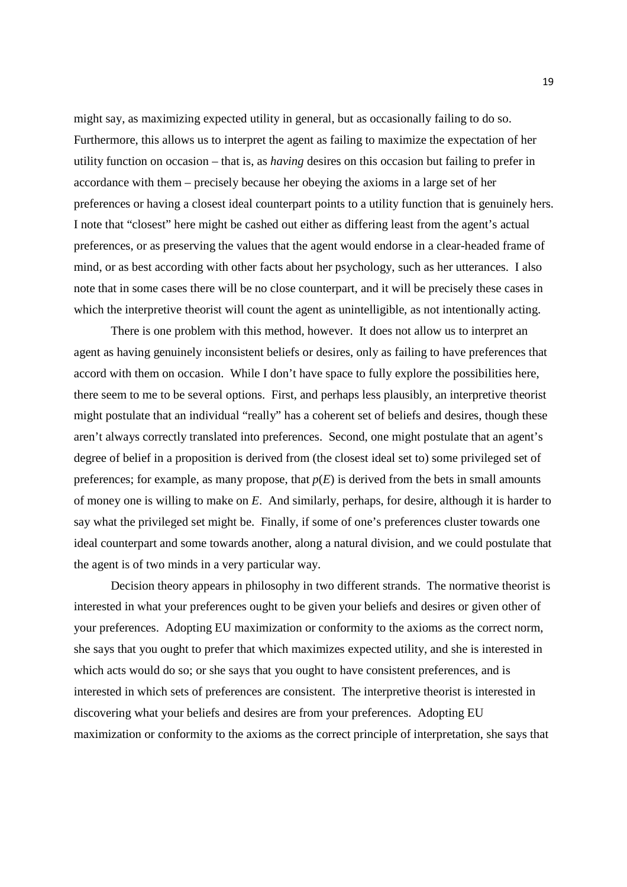might say, as maximizing expected utility in general, but as occasionally failing to do so. Furthermore, this allows us to interpret the agent as failing to maximize the expectation of her utility function on occasion – that is, as *having* desires on this occasion but failing to prefer in accordance with them – precisely because her obeying the axioms in a large set of her preferences or having a closest ideal counterpart points to a utility function that is genuinely hers. I note that "closest" here might be cashed out either as differing least from the agent's actual preferences, or as preserving the values that the agent would endorse in a clear-headed frame of mind, or as best according with other facts about her psychology, such as her utterances. I also note that in some cases there will be no close counterpart, and it will be precisely these cases in which the interpretive theorist will count the agent as unintelligible, as not intentionally acting.

There is one problem with this method, however. It does not allow us to interpret an agent as having genuinely inconsistent beliefs or desires, only as failing to have preferences that accord with them on occasion. While I don't have space to fully explore the possibilities here, there seem to me to be several options. First, and perhaps less plausibly, an interpretive theorist might postulate that an individual "really" has a coherent set of beliefs and desires, though these aren't always correctly translated into preferences. Second, one might postulate that an agent's degree of belief in a proposition is derived from (the closest ideal set to) some privileged set of preferences; for example, as many propose, that  $p(E)$  is derived from the bets in small amounts of money one is willing to make on *E*. And similarly, perhaps, for desire, although it is harder to say what the privileged set might be. Finally, if some of one's preferences cluster towards one ideal counterpart and some towards another, along a natural division, and we could postulate that the agent is of two minds in a very particular way.

Decision theory appears in philosophy in two different strands. The normative theorist is interested in what your preferences ought to be given your beliefs and desires or given other of your preferences. Adopting EU maximization or conformity to the axioms as the correct norm, she says that you ought to prefer that which maximizes expected utility, and she is interested in which acts would do so; or she says that you ought to have consistent preferences, and is interested in which sets of preferences are consistent. The interpretive theorist is interested in discovering what your beliefs and desires are from your preferences. Adopting EU maximization or conformity to the axioms as the correct principle of interpretation, she says that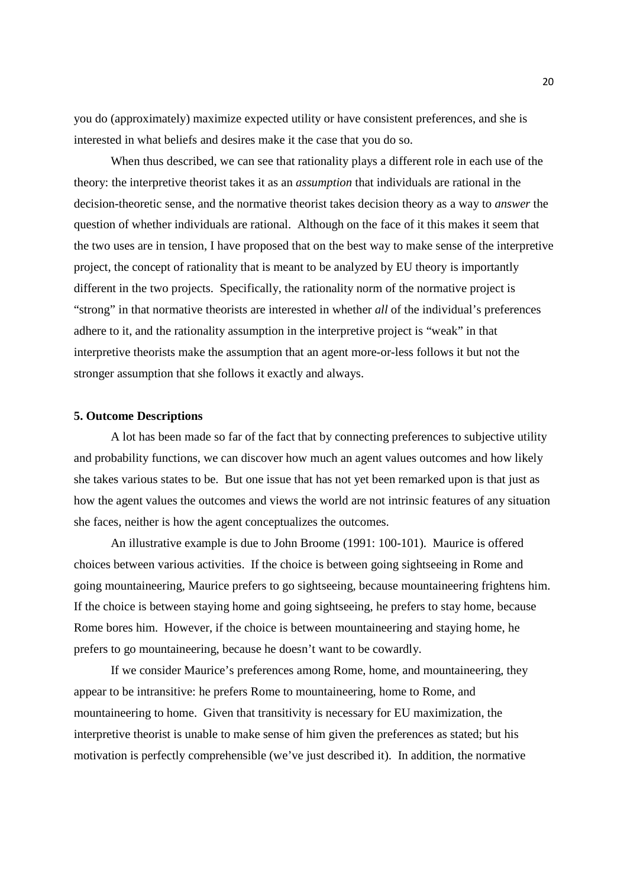you do (approximately) maximize expected utility or have consistent preferences, and she is interested in what beliefs and desires make it the case that you do so.

When thus described, we can see that rationality plays a different role in each use of the theory: the interpretive theorist takes it as an *assumption* that individuals are rational in the decision-theoretic sense, and the normative theorist takes decision theory as a way to *answer* the question of whether individuals are rational. Although on the face of it this makes it seem that the two uses are in tension, I have proposed that on the best way to make sense of the interpretive project, the concept of rationality that is meant to be analyzed by EU theory is importantly different in the two projects. Specifically, the rationality norm of the normative project is "strong" in that normative theorists are interested in whether *all* of the individual's preferences adhere to it, and the rationality assumption in the interpretive project is "weak" in that interpretive theorists make the assumption that an agent more-or-less follows it but not the stronger assumption that she follows it exactly and always.

#### **5. Outcome Descriptions**

A lot has been made so far of the fact that by connecting preferences to subjective utility and probability functions, we can discover how much an agent values outcomes and how likely she takes various states to be. But one issue that has not yet been remarked upon is that just as how the agent values the outcomes and views the world are not intrinsic features of any situation she faces, neither is how the agent conceptualizes the outcomes.

An illustrative example is due to John Broome (1991: 100-101). Maurice is offered choices between various activities. If the choice is between going sightseeing in Rome and going mountaineering, Maurice prefers to go sightseeing, because mountaineering frightens him. If the choice is between staying home and going sightseeing, he prefers to stay home, because Rome bores him. However, if the choice is between mountaineering and staying home, he prefers to go mountaineering, because he doesn't want to be cowardly.

If we consider Maurice's preferences among Rome, home, and mountaineering, they appear to be intransitive: he prefers Rome to mountaineering, home to Rome, and mountaineering to home. Given that transitivity is necessary for EU maximization, the interpretive theorist is unable to make sense of him given the preferences as stated; but his motivation is perfectly comprehensible (we've just described it). In addition, the normative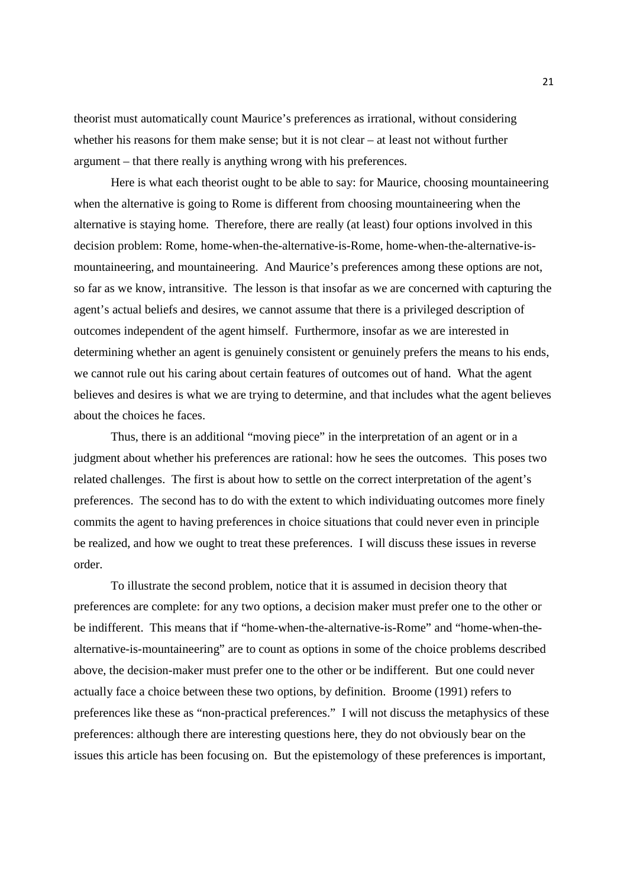theorist must automatically count Maurice's preferences as irrational, without considering whether his reasons for them make sense; but it is not clear – at least not without further argument – that there really is anything wrong with his preferences.

Here is what each theorist ought to be able to say: for Maurice, choosing mountaineering when the alternative is going to Rome is different from choosing mountaineering when the alternative is staying home. Therefore, there are really (at least) four options involved in this decision problem: Rome, home-when-the-alternative-is-Rome, home-when-the-alternative-ismountaineering, and mountaineering. And Maurice's preferences among these options are not, so far as we know, intransitive. The lesson is that insofar as we are concerned with capturing the agent's actual beliefs and desires, we cannot assume that there is a privileged description of outcomes independent of the agent himself. Furthermore, insofar as we are interested in determining whether an agent is genuinely consistent or genuinely prefers the means to his ends, we cannot rule out his caring about certain features of outcomes out of hand. What the agent believes and desires is what we are trying to determine, and that includes what the agent believes about the choices he faces.

Thus, there is an additional "moving piece" in the interpretation of an agent or in a judgment about whether his preferences are rational: how he sees the outcomes. This poses two related challenges. The first is about how to settle on the correct interpretation of the agent's preferences. The second has to do with the extent to which individuating outcomes more finely commits the agent to having preferences in choice situations that could never even in principle be realized, and how we ought to treat these preferences. I will discuss these issues in reverse order.

To illustrate the second problem, notice that it is assumed in decision theory that preferences are complete: for any two options, a decision maker must prefer one to the other or be indifferent. This means that if "home-when-the-alternative-is-Rome" and "home-when-thealternative-is-mountaineering" are to count as options in some of the choice problems described above, the decision-maker must prefer one to the other or be indifferent. But one could never actually face a choice between these two options, by definition. Broome (1991) refers to preferences like these as "non-practical preferences." I will not discuss the metaphysics of these preferences: although there are interesting questions here, they do not obviously bear on the issues this article has been focusing on. But the epistemology of these preferences is important,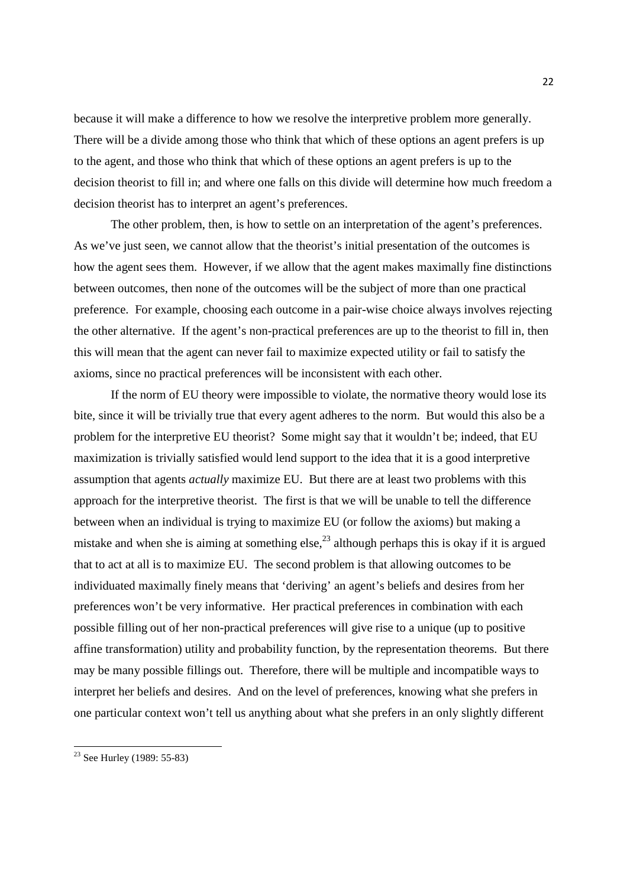because it will make a difference to how we resolve the interpretive problem more generally. There will be a divide among those who think that which of these options an agent prefers is up to the agent, and those who think that which of these options an agent prefers is up to the decision theorist to fill in; and where one falls on this divide will determine how much freedom a decision theorist has to interpret an agent's preferences.

The other problem, then, is how to settle on an interpretation of the agent's preferences. As we've just seen, we cannot allow that the theorist's initial presentation of the outcomes is how the agent sees them. However, if we allow that the agent makes maximally fine distinctions between outcomes, then none of the outcomes will be the subject of more than one practical preference. For example, choosing each outcome in a pair-wise choice always involves rejecting the other alternative. If the agent's non-practical preferences are up to the theorist to fill in, then this will mean that the agent can never fail to maximize expected utility or fail to satisfy the axioms, since no practical preferences will be inconsistent with each other.

If the norm of EU theory were impossible to violate, the normative theory would lose its bite, since it will be trivially true that every agent adheres to the norm. But would this also be a problem for the interpretive EU theorist? Some might say that it wouldn't be; indeed, that EU maximization is trivially satisfied would lend support to the idea that it is a good interpretive assumption that agents *actually* maximize EU. But there are at least two problems with this approach for the interpretive theorist. The first is that we will be unable to tell the difference between when an individual is trying to maximize EU (or follow the axioms) but making a mistake and when she is aiming at something else,  $^{23}$  although perhaps this is okay if it is argued that to act at all is to maximize EU. The second problem is that allowing outcomes to be individuated maximally finely means that 'deriving' an agent's beliefs and desires from her preferences won't be very informative. Her practical preferences in combination with each possible filling out of her non-practical preferences will give rise to a unique (up to positive affine transformation) utility and probability function, by the representation theorems. But there may be many possible fillings out. Therefore, there will be multiple and incompatible ways to interpret her beliefs and desires. And on the level of preferences, knowing what she prefers in one particular context won't tell us anything about what she prefers in an only slightly different

<sup>&</sup>lt;sup>23</sup> See Hurley (1989: 55-83)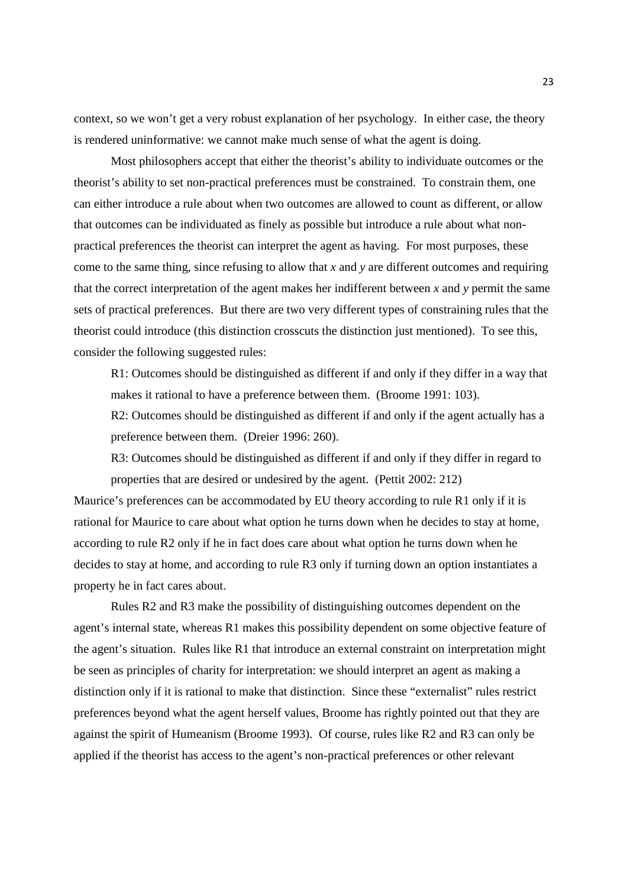context, so we won't get a very robust explanation of her psychology. In either case, the theory is rendered uninformative: we cannot make much sense of what the agent is doing.

Most philosophers accept that either the theorist's ability to individuate outcomes or the theorist's ability to set non-practical preferences must be constrained. To constrain them, one can either introduce a rule about when two outcomes are allowed to count as different, or allow that outcomes can be individuated as finely as possible but introduce a rule about what nonpractical preferences the theorist can interpret the agent as having. For most purposes, these come to the same thing, since refusing to allow that *x* and *y* are different outcomes and requiring that the correct interpretation of the agent makes her indifferent between  $x$  and  $y$  permit the same sets of practical preferences. But there are two very different types of constraining rules that the theorist could introduce (this distinction crosscuts the distinction just mentioned). To see this, consider the following suggested rules:

R1: Outcomes should be distinguished as different if and only if they differ in a way that makes it rational to have a preference between them. (Broome 1991: 103).

R2: Outcomes should be distinguished as different if and only if the agent actually has a preference between them. (Dreier 1996: 260).

R3: Outcomes should be distinguished as different if and only if they differ in regard to properties that are desired or undesired by the agent. (Pettit 2002: 212)

Maurice's preferences can be accommodated by EU theory according to rule R1 only if it is rational for Maurice to care about what option he turns down when he decides to stay at home, according to rule R2 only if he in fact does care about what option he turns down when he decides to stay at home, and according to rule R3 only if turning down an option instantiates a property he in fact cares about.

 Rules R2 and R3 make the possibility of distinguishing outcomes dependent on the agent's internal state, whereas R1 makes this possibility dependent on some objective feature of the agent's situation. Rules like R1 that introduce an external constraint on interpretation might be seen as principles of charity for interpretation: we should interpret an agent as making a distinction only if it is rational to make that distinction. Since these "externalist" rules restrict preferences beyond what the agent herself values, Broome has rightly pointed out that they are against the spirit of Humeanism (Broome 1993). Of course, rules like R2 and R3 can only be applied if the theorist has access to the agent's non-practical preferences or other relevant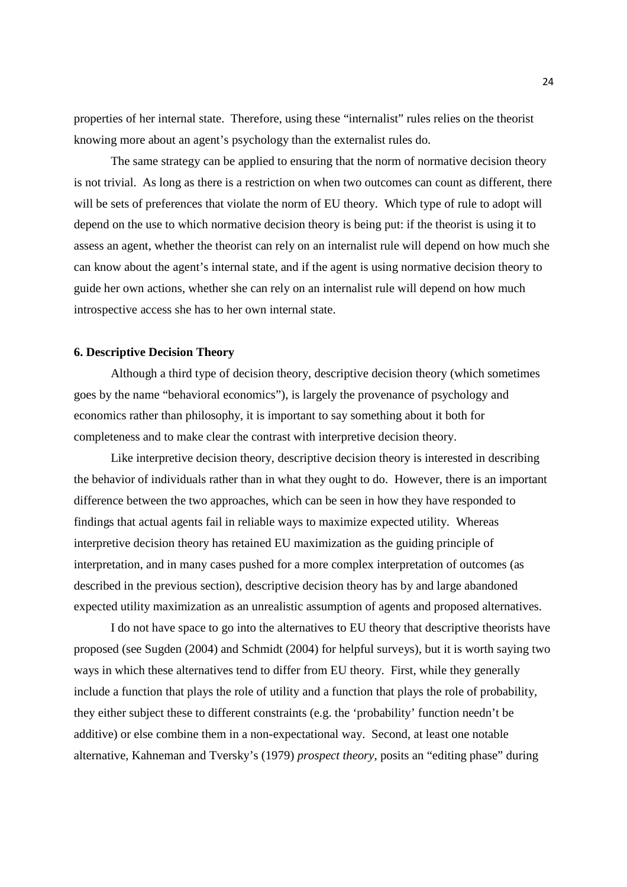properties of her internal state. Therefore, using these "internalist" rules relies on the theorist knowing more about an agent's psychology than the externalist rules do.

 The same strategy can be applied to ensuring that the norm of normative decision theory is not trivial. As long as there is a restriction on when two outcomes can count as different, there will be sets of preferences that violate the norm of EU theory. Which type of rule to adopt will depend on the use to which normative decision theory is being put: if the theorist is using it to assess an agent, whether the theorist can rely on an internalist rule will depend on how much she can know about the agent's internal state, and if the agent is using normative decision theory to guide her own actions, whether she can rely on an internalist rule will depend on how much introspective access she has to her own internal state.

## **6. Descriptive Decision Theory**

Although a third type of decision theory, descriptive decision theory (which sometimes goes by the name "behavioral economics"), is largely the provenance of psychology and economics rather than philosophy, it is important to say something about it both for completeness and to make clear the contrast with interpretive decision theory.

Like interpretive decision theory, descriptive decision theory is interested in describing the behavior of individuals rather than in what they ought to do. However, there is an important difference between the two approaches, which can be seen in how they have responded to findings that actual agents fail in reliable ways to maximize expected utility. Whereas interpretive decision theory has retained EU maximization as the guiding principle of interpretation, and in many cases pushed for a more complex interpretation of outcomes (as described in the previous section), descriptive decision theory has by and large abandoned expected utility maximization as an unrealistic assumption of agents and proposed alternatives.

I do not have space to go into the alternatives to EU theory that descriptive theorists have proposed (see Sugden (2004) and Schmidt (2004) for helpful surveys), but it is worth saying two ways in which these alternatives tend to differ from EU theory. First, while they generally include a function that plays the role of utility and a function that plays the role of probability, they either subject these to different constraints (e.g. the 'probability' function needn't be additive) or else combine them in a non-expectational way. Second, at least one notable alternative, Kahneman and Tversky's (1979) *prospect theory*, posits an "editing phase" during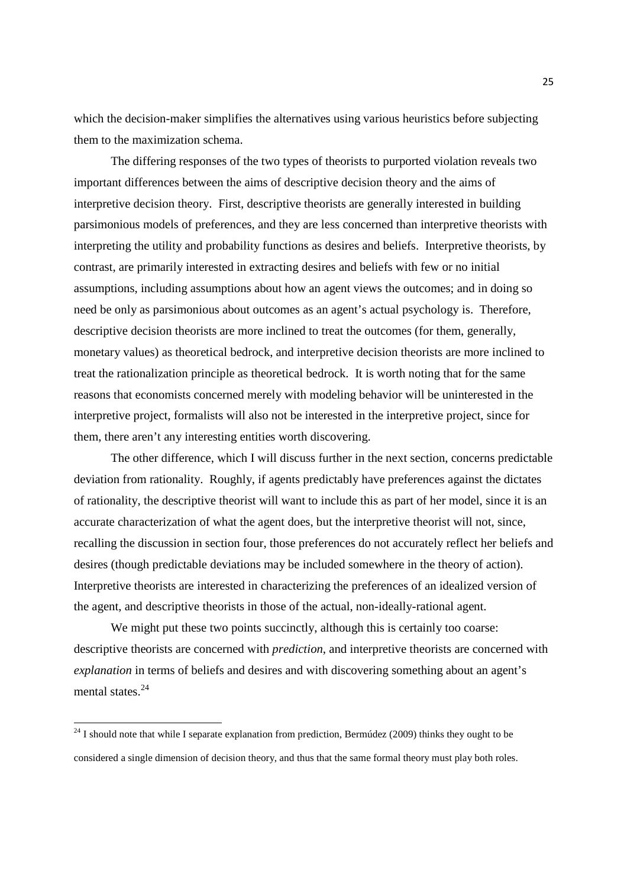which the decision-maker simplifies the alternatives using various heuristics before subjecting them to the maximization schema.

The differing responses of the two types of theorists to purported violation reveals two important differences between the aims of descriptive decision theory and the aims of interpretive decision theory. First, descriptive theorists are generally interested in building parsimonious models of preferences, and they are less concerned than interpretive theorists with interpreting the utility and probability functions as desires and beliefs. Interpretive theorists, by contrast, are primarily interested in extracting desires and beliefs with few or no initial assumptions, including assumptions about how an agent views the outcomes; and in doing so need be only as parsimonious about outcomes as an agent's actual psychology is. Therefore, descriptive decision theorists are more inclined to treat the outcomes (for them, generally, monetary values) as theoretical bedrock, and interpretive decision theorists are more inclined to treat the rationalization principle as theoretical bedrock. It is worth noting that for the same reasons that economists concerned merely with modeling behavior will be uninterested in the interpretive project, formalists will also not be interested in the interpretive project, since for them, there aren't any interesting entities worth discovering.

The other difference, which I will discuss further in the next section, concerns predictable deviation from rationality. Roughly, if agents predictably have preferences against the dictates of rationality, the descriptive theorist will want to include this as part of her model, since it is an accurate characterization of what the agent does, but the interpretive theorist will not, since, recalling the discussion in section four, those preferences do not accurately reflect her beliefs and desires (though predictable deviations may be included somewhere in the theory of action). Interpretive theorists are interested in characterizing the preferences of an idealized version of the agent, and descriptive theorists in those of the actual, non-ideally-rational agent.

We might put these two points succinctly, although this is certainly too coarse: descriptive theorists are concerned with *prediction*, and interpretive theorists are concerned with *explanation* in terms of beliefs and desires and with discovering something about an agent's mental states.<sup>24</sup>

<sup>&</sup>lt;sup>24</sup> I should note that while I separate explanation from prediction, Bermúdez (2009) thinks they ought to be considered a single dimension of decision theory, and thus that the same formal theory must play both roles.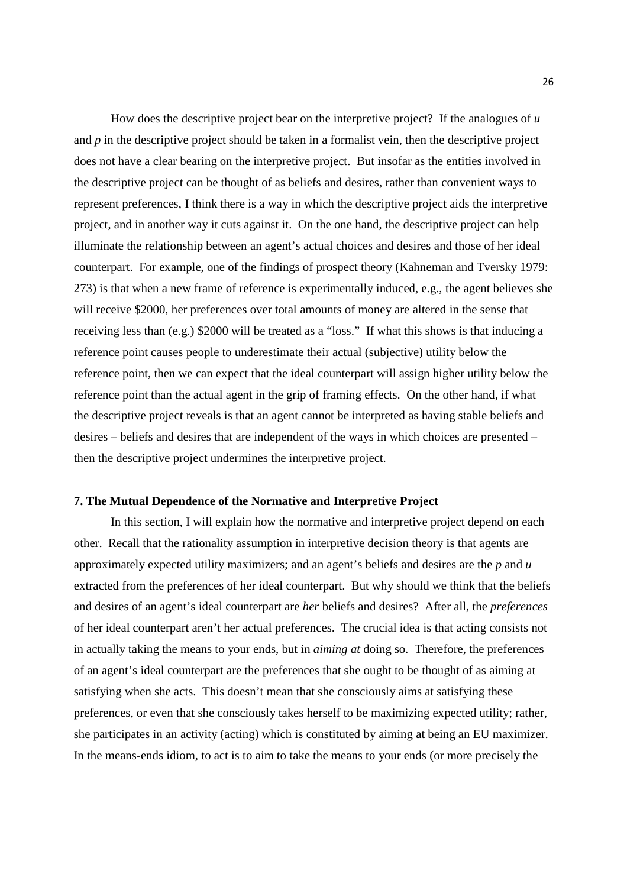How does the descriptive project bear on the interpretive project? If the analogues of *u* and *p* in the descriptive project should be taken in a formalist vein, then the descriptive project does not have a clear bearing on the interpretive project. But insofar as the entities involved in the descriptive project can be thought of as beliefs and desires, rather than convenient ways to represent preferences, I think there is a way in which the descriptive project aids the interpretive project, and in another way it cuts against it. On the one hand, the descriptive project can help illuminate the relationship between an agent's actual choices and desires and those of her ideal counterpart. For example, one of the findings of prospect theory (Kahneman and Tversky 1979: 273) is that when a new frame of reference is experimentally induced, e.g., the agent believes she will receive \$2000, her preferences over total amounts of money are altered in the sense that receiving less than (e.g.) \$2000 will be treated as a "loss." If what this shows is that inducing a reference point causes people to underestimate their actual (subjective) utility below the reference point, then we can expect that the ideal counterpart will assign higher utility below the reference point than the actual agent in the grip of framing effects. On the other hand, if what the descriptive project reveals is that an agent cannot be interpreted as having stable beliefs and desires – beliefs and desires that are independent of the ways in which choices are presented – then the descriptive project undermines the interpretive project.

## **7. The Mutual Dependence of the Normative and Interpretive Project**

In this section, I will explain how the normative and interpretive project depend on each other. Recall that the rationality assumption in interpretive decision theory is that agents are approximately expected utility maximizers; and an agent's beliefs and desires are the *p* and *u* extracted from the preferences of her ideal counterpart. But why should we think that the beliefs and desires of an agent's ideal counterpart are *her* beliefs and desires? After all, the *preferences* of her ideal counterpart aren't her actual preferences. The crucial idea is that acting consists not in actually taking the means to your ends, but in *aiming at* doing so. Therefore, the preferences of an agent's ideal counterpart are the preferences that she ought to be thought of as aiming at satisfying when she acts. This doesn't mean that she consciously aims at satisfying these preferences, or even that she consciously takes herself to be maximizing expected utility; rather, she participates in an activity (acting) which is constituted by aiming at being an EU maximizer. In the means-ends idiom, to act is to aim to take the means to your ends (or more precisely the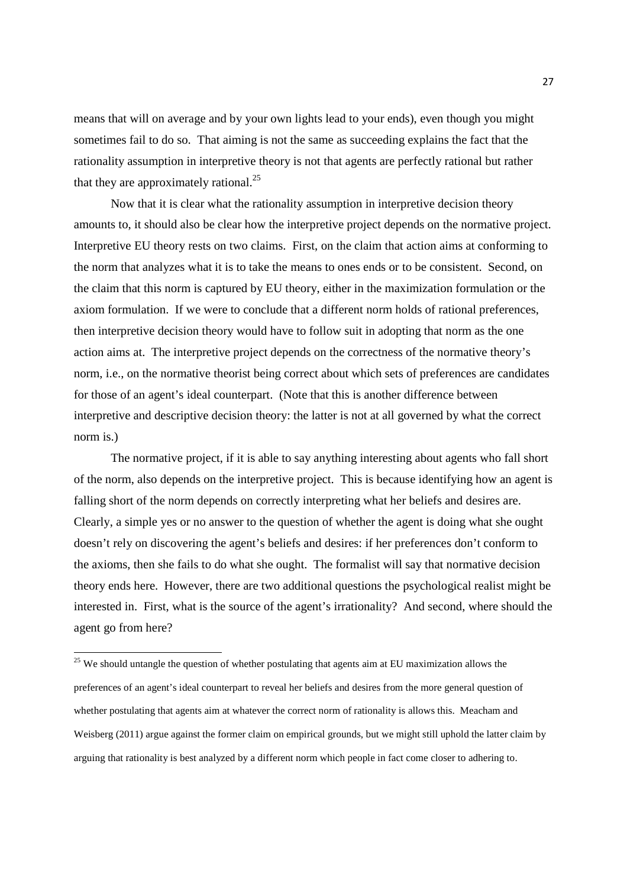means that will on average and by your own lights lead to your ends), even though you might sometimes fail to do so. That aiming is not the same as succeeding explains the fact that the rationality assumption in interpretive theory is not that agents are perfectly rational but rather that they are approximately rational.<sup>25</sup>

Now that it is clear what the rationality assumption in interpretive decision theory amounts to, it should also be clear how the interpretive project depends on the normative project. Interpretive EU theory rests on two claims. First, on the claim that action aims at conforming to the norm that analyzes what it is to take the means to ones ends or to be consistent. Second, on the claim that this norm is captured by EU theory, either in the maximization formulation or the axiom formulation. If we were to conclude that a different norm holds of rational preferences, then interpretive decision theory would have to follow suit in adopting that norm as the one action aims at. The interpretive project depends on the correctness of the normative theory's norm, i.e., on the normative theorist being correct about which sets of preferences are candidates for those of an agent's ideal counterpart. (Note that this is another difference between interpretive and descriptive decision theory: the latter is not at all governed by what the correct norm is.)

The normative project, if it is able to say anything interesting about agents who fall short of the norm, also depends on the interpretive project. This is because identifying how an agent is falling short of the norm depends on correctly interpreting what her beliefs and desires are. Clearly, a simple yes or no answer to the question of whether the agent is doing what she ought doesn't rely on discovering the agent's beliefs and desires: if her preferences don't conform to the axioms, then she fails to do what she ought. The formalist will say that normative decision theory ends here. However, there are two additional questions the psychological realist might be interested in. First, what is the source of the agent's irrationality? And second, where should the agent go from here?

<sup>&</sup>lt;sup>25</sup> We should untangle the question of whether postulating that agents aim at EU maximization allows the preferences of an agent's ideal counterpart to reveal her beliefs and desires from the more general question of whether postulating that agents aim at whatever the correct norm of rationality is allows this. Meacham and Weisberg (2011) argue against the former claim on empirical grounds, but we might still uphold the latter claim by arguing that rationality is best analyzed by a different norm which people in fact come closer to adhering to.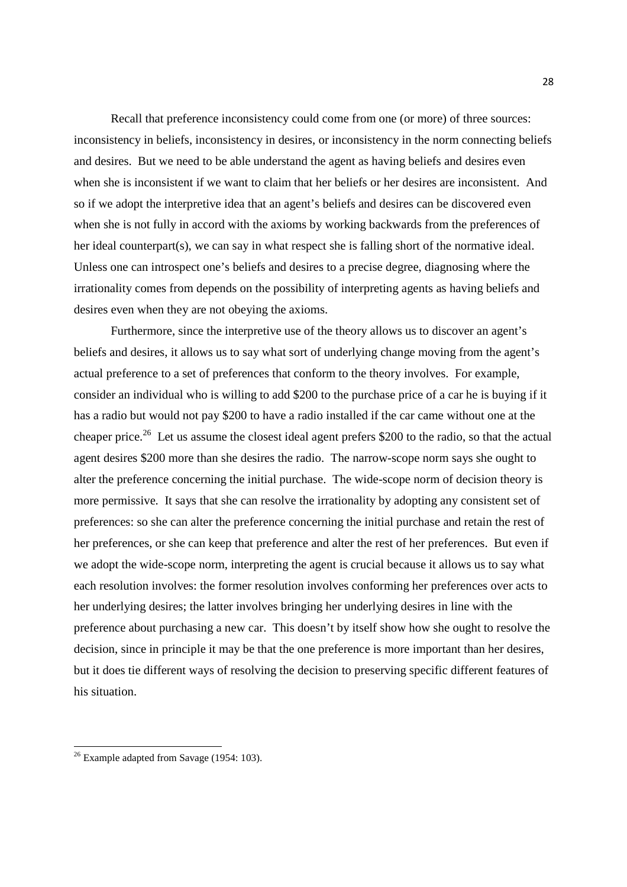Recall that preference inconsistency could come from one (or more) of three sources: inconsistency in beliefs, inconsistency in desires, or inconsistency in the norm connecting beliefs and desires. But we need to be able understand the agent as having beliefs and desires even when she is inconsistent if we want to claim that her beliefs or her desires are inconsistent. And so if we adopt the interpretive idea that an agent's beliefs and desires can be discovered even when she is not fully in accord with the axioms by working backwards from the preferences of her ideal counterpart(s), we can say in what respect she is falling short of the normative ideal. Unless one can introspect one's beliefs and desires to a precise degree, diagnosing where the irrationality comes from depends on the possibility of interpreting agents as having beliefs and desires even when they are not obeying the axioms.

Furthermore, since the interpretive use of the theory allows us to discover an agent's beliefs and desires, it allows us to say what sort of underlying change moving from the agent's actual preference to a set of preferences that conform to the theory involves. For example, consider an individual who is willing to add \$200 to the purchase price of a car he is buying if it has a radio but would not pay \$200 to have a radio installed if the car came without one at the cheaper price.<sup>26</sup> Let us assume the closest ideal agent prefers \$200 to the radio, so that the actual agent desires \$200 more than she desires the radio. The narrow-scope norm says she ought to alter the preference concerning the initial purchase. The wide-scope norm of decision theory is more permissive. It says that she can resolve the irrationality by adopting any consistent set of preferences: so she can alter the preference concerning the initial purchase and retain the rest of her preferences, or she can keep that preference and alter the rest of her preferences. But even if we adopt the wide-scope norm, interpreting the agent is crucial because it allows us to say what each resolution involves: the former resolution involves conforming her preferences over acts to her underlying desires; the latter involves bringing her underlying desires in line with the preference about purchasing a new car. This doesn't by itself show how she ought to resolve the decision, since in principle it may be that the one preference is more important than her desires, but it does tie different ways of resolving the decision to preserving specific different features of his situation.

 $26$  Example adapted from Savage (1954: 103).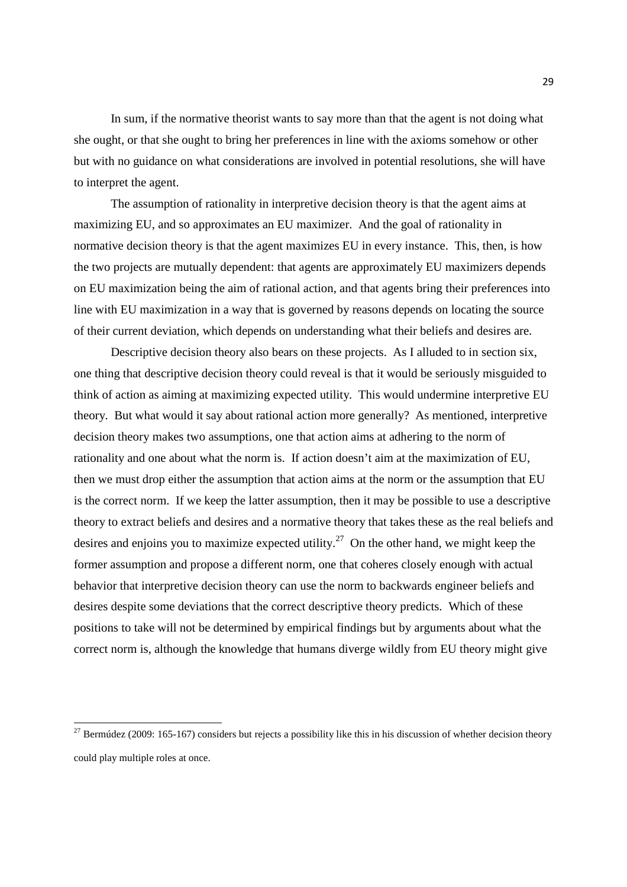In sum, if the normative theorist wants to say more than that the agent is not doing what she ought, or that she ought to bring her preferences in line with the axioms somehow or other but with no guidance on what considerations are involved in potential resolutions, she will have to interpret the agent.

The assumption of rationality in interpretive decision theory is that the agent aims at maximizing EU, and so approximates an EU maximizer. And the goal of rationality in normative decision theory is that the agent maximizes EU in every instance. This, then, is how the two projects are mutually dependent: that agents are approximately EU maximizers depends on EU maximization being the aim of rational action, and that agents bring their preferences into line with EU maximization in a way that is governed by reasons depends on locating the source of their current deviation, which depends on understanding what their beliefs and desires are.

Descriptive decision theory also bears on these projects. As I alluded to in section six, one thing that descriptive decision theory could reveal is that it would be seriously misguided to think of action as aiming at maximizing expected utility. This would undermine interpretive EU theory. But what would it say about rational action more generally? As mentioned, interpretive decision theory makes two assumptions, one that action aims at adhering to the norm of rationality and one about what the norm is. If action doesn't aim at the maximization of EU, then we must drop either the assumption that action aims at the norm or the assumption that EU is the correct norm. If we keep the latter assumption, then it may be possible to use a descriptive theory to extract beliefs and desires and a normative theory that takes these as the real beliefs and desires and enjoins you to maximize expected utility.<sup>27</sup> On the other hand, we might keep the former assumption and propose a different norm, one that coheres closely enough with actual behavior that interpretive decision theory can use the norm to backwards engineer beliefs and desires despite some deviations that the correct descriptive theory predicts. Which of these positions to take will not be determined by empirical findings but by arguments about what the correct norm is, although the knowledge that humans diverge wildly from EU theory might give

 $27$  Bermúdez (2009: 165-167) considers but rejects a possibility like this in his discussion of whether decision theory could play multiple roles at once.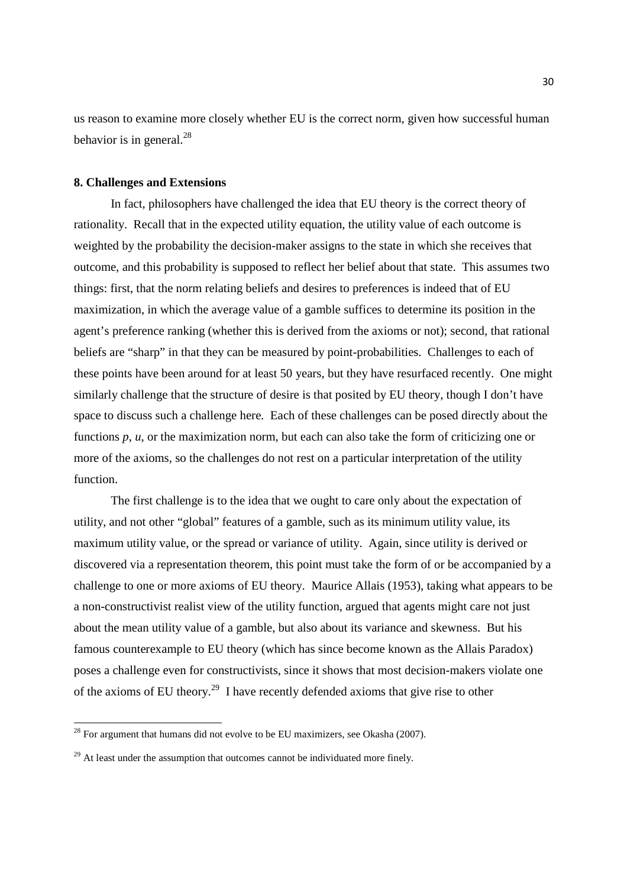us reason to examine more closely whether EU is the correct norm, given how successful human behavior is in general. $^{28}$ 

## **8. Challenges and Extensions**

In fact, philosophers have challenged the idea that EU theory is the correct theory of rationality. Recall that in the expected utility equation, the utility value of each outcome is weighted by the probability the decision-maker assigns to the state in which she receives that outcome, and this probability is supposed to reflect her belief about that state. This assumes two things: first, that the norm relating beliefs and desires to preferences is indeed that of EU maximization, in which the average value of a gamble suffices to determine its position in the agent's preference ranking (whether this is derived from the axioms or not); second, that rational beliefs are "sharp" in that they can be measured by point-probabilities. Challenges to each of these points have been around for at least 50 years, but they have resurfaced recently. One might similarly challenge that the structure of desire is that posited by EU theory, though I don't have space to discuss such a challenge here. Each of these challenges can be posed directly about the functions *p*, *u*, or the maximization norm, but each can also take the form of criticizing one or more of the axioms, so the challenges do not rest on a particular interpretation of the utility function.

The first challenge is to the idea that we ought to care only about the expectation of utility, and not other "global" features of a gamble, such as its minimum utility value, its maximum utility value, or the spread or variance of utility. Again, since utility is derived or discovered via a representation theorem, this point must take the form of or be accompanied by a challenge to one or more axioms of EU theory. Maurice Allais (1953), taking what appears to be a non-constructivist realist view of the utility function, argued that agents might care not just about the mean utility value of a gamble, but also about its variance and skewness. But his famous counterexample to EU theory (which has since become known as the Allais Paradox) poses a challenge even for constructivists, since it shows that most decision-makers violate one of the axioms of EU theory.<sup>29</sup> I have recently defended axioms that give rise to other

 $^{28}$  For argument that humans did not evolve to be EU maximizers, see Okasha (2007).

 $^{29}$  At least under the assumption that outcomes cannot be individuated more finely.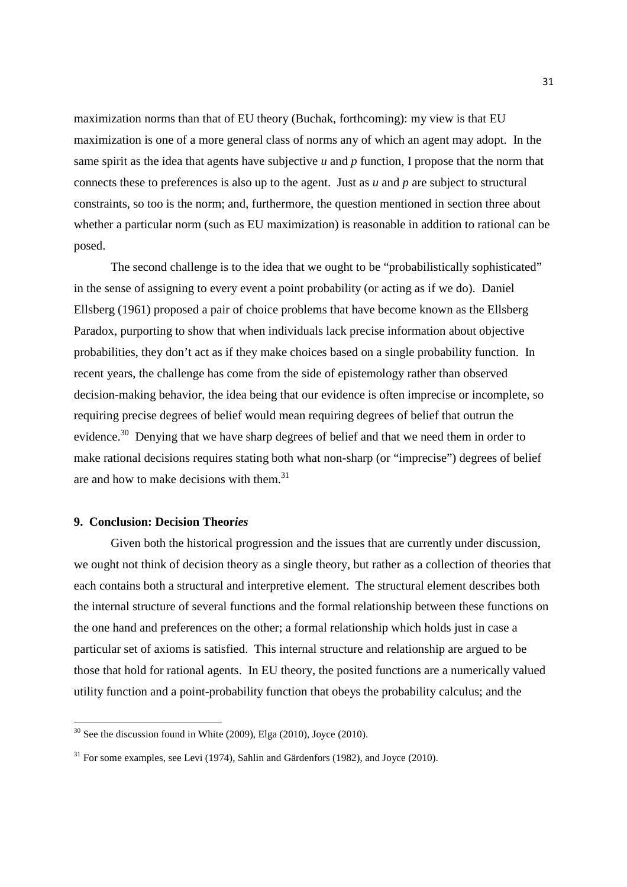maximization norms than that of EU theory (Buchak, forthcoming): my view is that EU maximization is one of a more general class of norms any of which an agent may adopt. In the same spirit as the idea that agents have subjective *u* and *p* function, I propose that the norm that connects these to preferences is also up to the agent. Just as *u* and *p* are subject to structural constraints, so too is the norm; and, furthermore, the question mentioned in section three about whether a particular norm (such as EU maximization) is reasonable in addition to rational can be posed.

The second challenge is to the idea that we ought to be "probabilistically sophisticated" in the sense of assigning to every event a point probability (or acting as if we do). Daniel Ellsberg (1961) proposed a pair of choice problems that have become known as the Ellsberg Paradox, purporting to show that when individuals lack precise information about objective probabilities, they don't act as if they make choices based on a single probability function. In recent years, the challenge has come from the side of epistemology rather than observed decision-making behavior, the idea being that our evidence is often imprecise or incomplete, so requiring precise degrees of belief would mean requiring degrees of belief that outrun the evidence.<sup>30</sup> Denving that we have sharp degrees of belief and that we need them in order to make rational decisions requires stating both what non-sharp (or "imprecise") degrees of belief are and how to make decisions with them.<sup>31</sup>

# **9. Conclusion: Decision Theor***ies*

 $\overline{a}$ 

Given both the historical progression and the issues that are currently under discussion, we ought not think of decision theory as a single theory, but rather as a collection of theories that each contains both a structural and interpretive element. The structural element describes both the internal structure of several functions and the formal relationship between these functions on the one hand and preferences on the other; a formal relationship which holds just in case a particular set of axioms is satisfied. This internal structure and relationship are argued to be those that hold for rational agents. In EU theory, the posited functions are a numerically valued utility function and a point-probability function that obeys the probability calculus; and the

 $30$  See the discussion found in White (2009), Elga (2010), Joyce (2010).

 $31$  For some examples, see Levi (1974), Sahlin and Gärdenfors (1982), and Joyce (2010).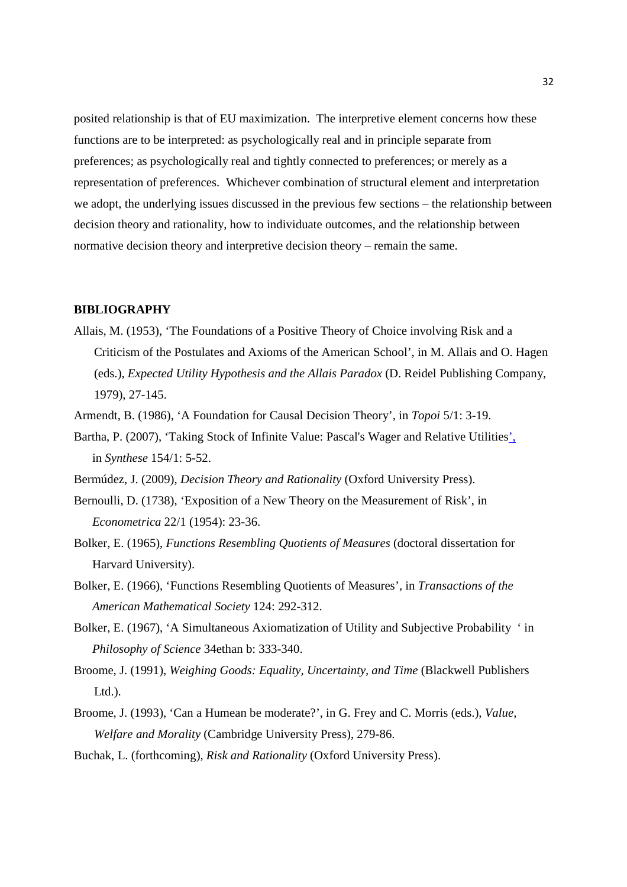posited relationship is that of EU maximization. The interpretive element concerns how these functions are to be interpreted: as psychologically real and in principle separate from preferences; as psychologically real and tightly connected to preferences; or merely as a representation of preferences. Whichever combination of structural element and interpretation we adopt, the underlying issues discussed in the previous few sections – the relationship between decision theory and rationality, how to individuate outcomes, and the relationship between normative decision theory and interpretive decision theory – remain the same.

## **BIBLIOGRAPHY**

- Allais, M. (1953), 'The Foundations of a Positive Theory of Choice involving Risk and a Criticism of the Postulates and Axioms of the American School', in M. Allais and O. Hagen (eds.), *Expected Utility Hypothesis and the Allais Paradox* (D. Reidel Publishing Company, 1979), 27-145.
- Armendt, B. (1986), 'A Foundation for Causal Decision Theory', in *Topoi* 5/1: 3-19.
- Bartha, P. (2007), 'Taking Stock of Infinite Value: Pascal's Wager and Relative Utilities', in *Synthese* 154/1: 5-52.
- Bermúdez, J. (2009), *Decision Theory and Rationality* (Oxford University Press).
- Bernoulli, D. (1738), 'Exposition of a New Theory on the Measurement of Risk', in *Econometrica* 22/1 (1954): 23-36.
- Bolker, E. (1965), *Functions Resembling Quotients of Measures* (doctoral dissertation for Harvard University).
- Bolker, E. (1966), 'Functions Resembling Quotients of Measures', in *Transactions of the American Mathematical Society* 124: 292-312.
- Bolker, E. (1967), 'A Simultaneous Axiomatization of Utility and Subjective Probability ' in *Philosophy of Science* 34ethan b: 333-340.
- Broome, J. (1991), *Weighing Goods: Equality, Uncertainty, and Time* (Blackwell Publishers  $Ltd.$ ).
- Broome, J. (1993), 'Can a Humean be moderate?', in G. Frey and C. Morris (eds.), *Value, Welfare and Morality* (Cambridge University Press), 279-86.
- Buchak, L. (forthcoming), *Risk and Rationality* (Oxford University Press).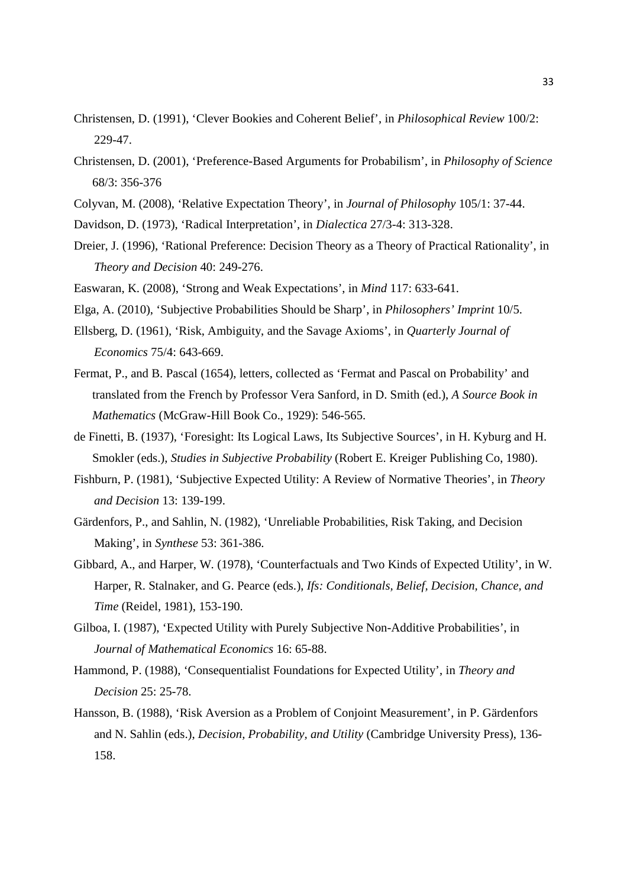- Christensen, D. (1991), 'Clever Bookies and Coherent Belief', in *Philosophical Review* 100/2: 229-47.
- Christensen, D. (2001), 'Preference-Based Arguments for Probabilism', in *Philosophy of Science* 68/3: 356-376
- Colyvan, M. (2008), 'Relative Expectation Theory', in *Journal of Philosophy* 105/1: 37-44.
- Davidson, D. (1973), 'Radical Interpretation', in *Dialectica* 27/3-4: 313-328.
- Dreier, J. (1996), 'Rational Preference: Decision Theory as a Theory of Practical Rationality', in *Theory and Decision* 40: 249-276.
- Easwaran, K. (2008), 'Strong and Weak Expectations', in *Mind* 117: 633-641.
- Elga, A. (2010), 'Subjective Probabilities Should be Sharp', in *Philosophers' Imprint* 10/5.
- Ellsberg, D. (1961), 'Risk, Ambiguity, and the Savage Axioms', in *Quarterly Journal of Economics* 75/4: 643-669.
- Fermat, P., and B. Pascal (1654), letters, collected as 'Fermat and Pascal on Probability' and translated from the French by Professor Vera Sanford, in D. Smith (ed.), *A Source Book in Mathematics* (McGraw-Hill Book Co., 1929): 546-565.
- de Finetti, B. (1937), 'Foresight: Its Logical Laws, Its Subjective Sources', in H. Kyburg and H. Smokler (eds.), *Studies in Subjective Probability* (Robert E. Kreiger Publishing Co, 1980).
- Fishburn, P. (1981), 'Subjective Expected Utility: A Review of Normative Theories', in *Theory and Decision* 13: 139-199.
- Gärdenfors, P., and Sahlin, N. (1982), 'Unreliable Probabilities, Risk Taking, and Decision Making', in *Synthese* 53: 361-386.
- Gibbard, A., and Harper, W. (1978), 'Counterfactuals and Two Kinds of Expected Utility', in W. Harper, R. Stalnaker, and G. Pearce (eds.), *Ifs: Conditionals, Belief, Decision, Chance, and Time* (Reidel, 1981), 153-190.
- Gilboa, I. (1987), 'Expected Utility with Purely Subjective Non-Additive Probabilities', in *Journal of Mathematical Economics* 16: 65-88.
- Hammond, P. (1988), 'Consequentialist Foundations for Expected Utility', in *Theory and Decision* 25: 25-78.
- Hansson, B. (1988), 'Risk Aversion as a Problem of Conjoint Measurement', in P. Gärdenfors and N. Sahlin (eds.), *Decision, Probability, and Utility* (Cambridge University Press), 136- 158.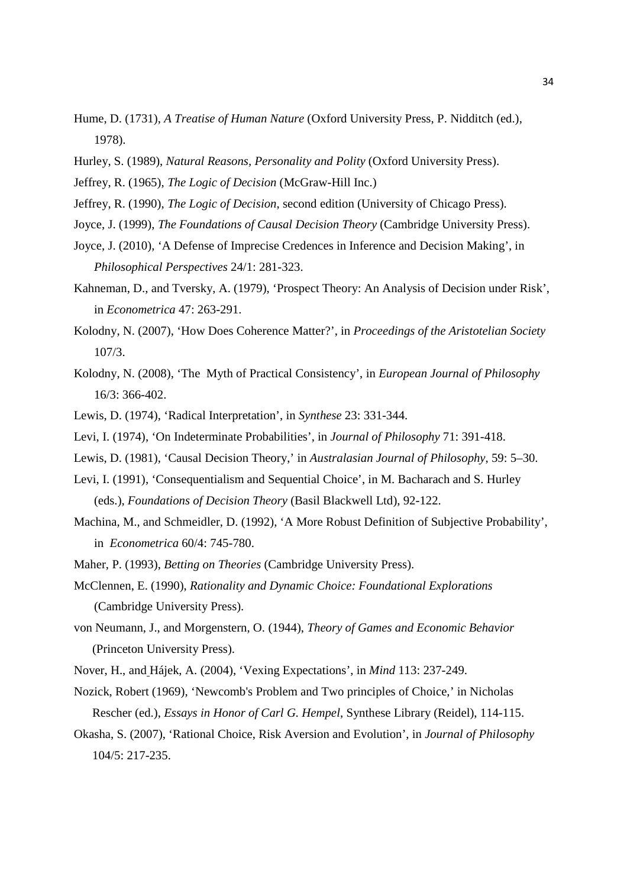- Hume, D. (1731), *A Treatise of Human Nature* (Oxford University Press, P. Nidditch (ed.), 1978).
- Hurley, S. (1989), *Natural Reasons, Personality and Polity* (Oxford University Press).
- Jeffrey, R. (1965), *The Logic of Decision* (McGraw-Hill Inc.)
- Jeffrey, R. (1990), *The Logic of Decision*, second edition (University of Chicago Press).
- Joyce, J. (1999), *The Foundations of Causal Decision Theory* (Cambridge University Press).
- Joyce, J. (2010), 'A Defense of Imprecise Credences in Inference and Decision Making', in *Philosophical Perspectives* 24/1: 281-323.
- Kahneman, D., and Tversky, A. (1979), 'Prospect Theory: An Analysis of Decision under Risk', in *Econometrica* 47: 263-291.
- Kolodny, N. (2007), 'How Does Coherence Matter?', in *Proceedings of the Aristotelian Society* 107/3.
- Kolodny, N. (2008), 'The Myth of Practical Consistency', in *European Journal of Philosophy* 16/3: 366-402.
- Lewis, D. (1974), 'Radical Interpretation', in *Synthese* 23: 331-344.
- Levi, I. (1974), 'On Indeterminate Probabilities', in *Journal of Philosophy* 71: 391-418.
- Lewis, D. (1981), 'Causal Decision Theory,' in *Australasian Journal of Philosophy*, 59: 5–30.
- Levi, I. (1991), 'Consequentialism and Sequential Choice', in M. Bacharach and S. Hurley (eds.), *Foundations of Decision Theory* (Basil Blackwell Ltd), 92-122.
- Machina, M., and Schmeidler, D. (1992), 'A More Robust Definition of Subjective Probability', in *Econometrica* 60/4: 745-780.
- Maher, P. (1993), *Betting on Theories* (Cambridge University Press).
- McClennen, E. (1990), *Rationality and Dynamic Choice: Foundational Explorations* (Cambridge University Press).
- von Neumann, J., and Morgenstern, O. (1944), *Theory of Games and Economic Behavior* (Princeton University Press).
- Nover, H., and Hájek, A. (2004), 'Vexing Expectations', in *Mind* 113: 237-249.
- Nozick, Robert (1969), 'Newcomb's Problem and Two principles of Choice,' in Nicholas Rescher (ed.), *Essays in Honor of Carl G. Hempel*, Synthese Library (Reidel), 114-115.
- Okasha, S. (2007), 'Rational Choice, Risk Aversion and Evolution', in *Journal of Philosophy* 104/5: 217-235.